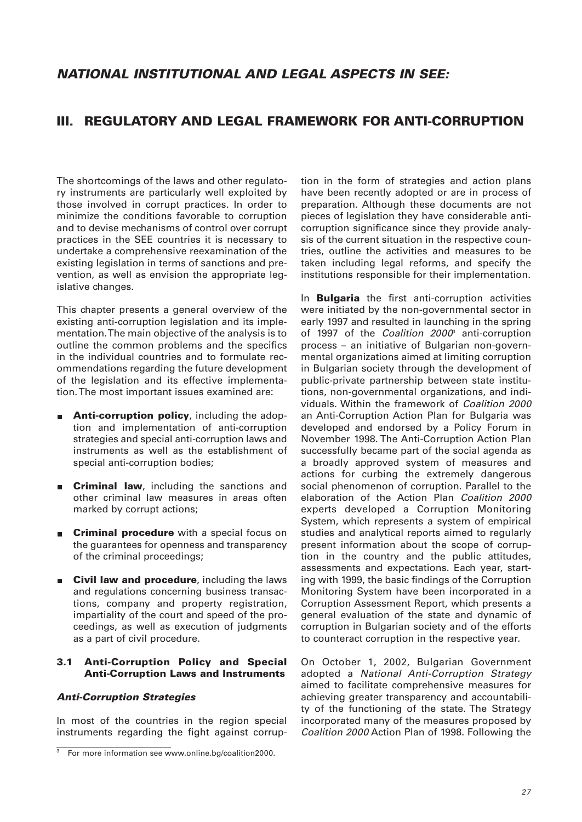# **III. REGULATORY AND LEGAL FRAMEWORK FOR ANTI-CORRUPTION**

The shortcomings of the laws and other regulatory instruments are particularly well exploited by those involved in corrupt practices. In order to minimize the conditions favorable to corruption and to devise mechanisms of control over corrupt practices in the SEE countries it is necessary to undertake a comprehensive reexamination of the existing legislation in terms of sanctions and prevention, as well as envision the appropriate legislative changes.

This chapter presents a general overview of the existing anti-corruption legislation and its implementation. The main objective of the analysis is to outline the common problems and the specifics in the individual countries and to formulate recommendations regarding the future development of the legislation and its effective implementation. The most important issues examined are:

- **Anti-corruption policy**, including the adoption and implementation of anti-corruption strategies and special anti-corruption laws and instruments as well as the establishment of special anti-corruption bodies;
- **Criminal law**, including the sanctions and other criminal law measures in areas often marked by corrupt actions;
- **Criminal procedure** with a special focus on the guarantees for openness and transparency of the criminal proceedings;
- **Civil law and procedure**, including the laws and regulations concerning business transactions, company and property registration, impartiality of the court and speed of the proceedings, as well as execution of judgments as a part of civil procedure.

### **3.1 Anti-Corruption Policy and Special Anti-Corruption Laws and Instruments**

### *Anti-Corruption Strategies*

In most of the countries in the region special instruments regarding the fight against corruption in the form of strategies and action plans have been recently adopted or are in process of preparation. Although these documents are not pieces of legislation they have considerable anticorruption significance since they provide analysis of the current situation in the respective countries, outline the activities and measures to be taken including legal reforms, and specify the institutions responsible for their implementation.

In **Bulgaria** the first anti-corruption activities were initiated by the non-governmental sector in early 1997 and resulted in launching in the spring of 1997 of the Coalition  $2000^{\circ}$  anti-corruption process – an initiative of Bulgarian non-governmental organizations aimed at limiting corruption in Bulgarian society through the development of public-private partnership between state institutions, non-governmental organizations, and individuals. Within the framework of Coalition 2000 an Anti-Corruption Action Plan for Bulgaria was developed and endorsed by a Policy Forum in November 1998. The Anti-Corruption Action Plan successfully became part of the social agenda as a broadly approved system of measures and actions for curbing the extremely dangerous social phenomenon of corruption. Parallel to the elaboration of the Action Plan Coalition 2000 experts developed a Corruption Monitoring System, which represents a system of empirical studies and analytical reports aimed to regularly present information about the scope of corruption in the country and the public attitudes, assessments and expectations. Each year, starting with 1999, the basic findings of the Corruption Monitoring System have been incorporated in a Corruption Assessment Report, which presents a general evaluation of the state and dynamic of corruption in Bulgarian society and of the efforts to counteract corruption in the respective year.

On October 1, 2002, Bulgarian Government adopted a National Anti-Corruption Strategy aimed to facilitate comprehensive measures for achieving greater transparency and accountability of the functioning of the state. The Strategy incorporated many of the measures proposed by Coalition 2000 Action Plan of 1998. Following the

For more information see www.online.bg/coalition2000.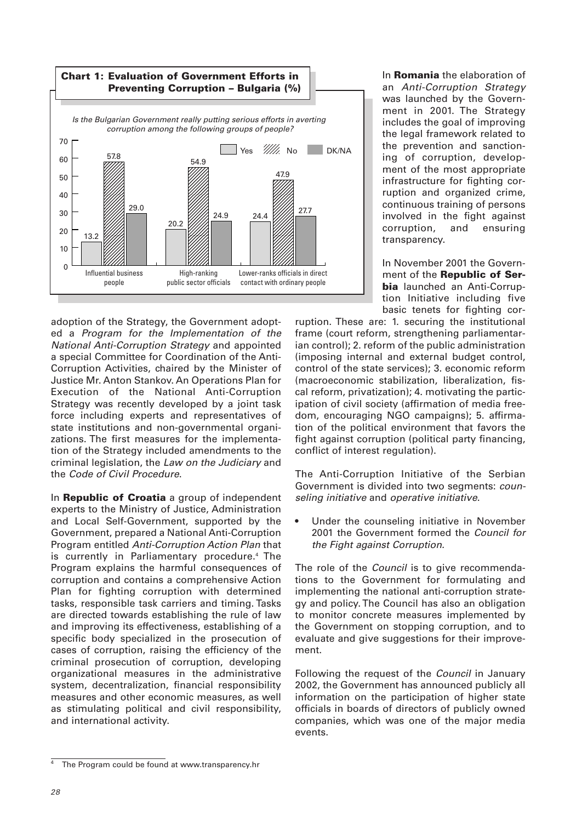

adoption of the Strategy, the Government adopted a Program for the Implementation of the National Anti-Corruption Strategy and appointed a special Committee for Coordination of the Anti-Corruption Activities, chaired by the Minister of Justice Mr. Anton Stankov. An Operations Plan for Execution of the National Anti-Corruption Strategy was recently developed by a joint task force including experts and representatives of state institutions and non-governmental organizations. The first measures for the implementation of the Strategy included amendments to the criminal legislation, the Law on the Judiciary and the Code of Civil Procedure.

In **Republic of Croatia** a group of independent experts to the Ministry of Justice, Administration and Local Self-Government, supported by the Government, prepared a National Anti-Corruption Program entitled Anti-Corruption Action Plan that is currently in Parliamentary procedure.<sup>4</sup> The Program explains the harmful consequences of corruption and contains a comprehensive Action Plan for fighting corruption with determined tasks, responsible task carriers and timing. Tasks are directed towards establishing the rule of law and improving its effectiveness, establishing of a specific body specialized in the prosecution of cases of corruption, raising the efficiency of the criminal prosecution of corruption, developing organizational measures in the administrative system, decentralization, financial responsibility measures and other economic measures, as well as stimulating political and civil responsibility, and international activity.

In **Romania** the elaboration of an Anti-Corruption Strategy was launched by the Government in 2001. The Strategy includes the goal of improving the legal framework related to the prevention and sanctioning of corruption, development of the most appropriate infrastructure for fighting corruption and organized crime, continuous training of persons involved in the fight against corruption, and ensuring transparency.

In November 2001 the Government of the **Republic of Serbia** launched an Anti-Corruption Initiative including five basic tenets for fighting cor-

ruption. These are: 1. securing the institutional frame (court reform, strengthening parliamentarian control); 2. reform of the public administration (imposing internal and external budget control, control of the state services); 3. economic reform (macroeconomic stabilization, liberalization, fiscal reform, privatization); 4. motivating the participation of civil society (affirmation of media freedom, encouraging NGO campaigns); 5. affirmation of the political environment that favors the fight against corruption (political party financing, conflict of interest regulation).

The Anti-Corruption Initiative of the Serbian Government is divided into two segments: counseling initiative and operative initiative.

• Under the counseling initiative in November 2001 the Government formed the Council for the Fight against Corruption.

The role of the Council is to give recommendations to the Government for formulating and implementing the national anti-corruption strategy and policy. The Council has also an obligation to monitor concrete measures implemented by the Government on stopping corruption, and to evaluate and give suggestions for their improvement.

Following the request of the Council in January 2002, the Government has announced publicly all information on the participation of higher state officials in boards of directors of publicly owned companies, which was one of the major media events.

The Program could be found at www.transparency.hr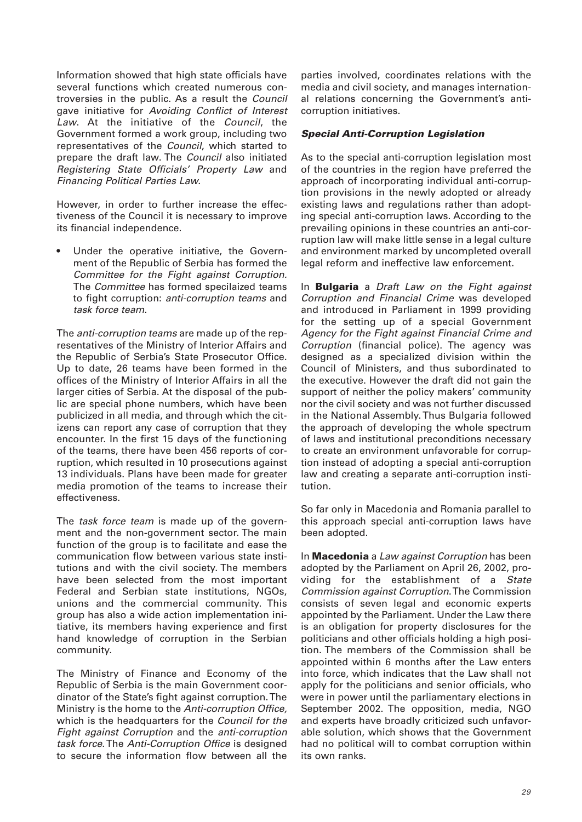Information showed that high state officials have several functions which created numerous controversies in the public. As a result the Council gave initiative for Avoiding Conflict of Interest Law. At the initiative of the Council, the Government formed a work group, including two representatives of the Council, which started to prepare the draft law. The Council also initiated Registering State Officials' Property Law and Financing Political Parties Law.

However, in order to further increase the effectiveness of the Council it is necessary to improve its financial independence.

Under the operative initiative, the Government of the Republic of Serbia has formed the Committee for the Fight against Corruption. The Committee has formed specilaized teams to fight corruption: anti-corruption teams and task force team.

The anti-corruption teams are made up of the representatives of the Ministry of Interior Affairs and the Republic of Serbia's State Prosecutor Office. Up to date, 26 teams have been formed in the offices of the Ministry of Interior Affairs in all the larger cities of Serbia. At the disposal of the public are special phone numbers, which have been publicized in all media, and through which the citizens can report any case of corruption that they encounter. In the first 15 days of the functioning of the teams, there have been 456 reports of corruption, which resulted in 10 prosecutions against 13 individuals. Plans have been made for greater media promotion of the teams to increase their effectiveness.

The task force team is made up of the government and the non-government sector. The main function of the group is to facilitate and ease the communication flow between various state institutions and with the civil society. The members have been selected from the most important Federal and Serbian state institutions, NGOs, unions and the commercial community. This group has also a wide action implementation initiative, its members having experience and first hand knowledge of corruption in the Serbian community.

The Ministry of Finance and Economy of the Republic of Serbia is the main Government coordinator of the State's fight against corruption. The Ministry is the home to the Anti-corruption Office, which is the headquarters for the Council for the Fight against Corruption and the anti-corruption task force. The Anti-Corruption Office is designed to secure the information flow between all the

parties involved, coordinates relations with the media and civil society, and manages international relations concerning the Government's anticorruption initiatives.

#### *Special Anti-Corruption Legislation*

As to the special anti-corruption legislation most of the countries in the region have preferred the approach of incorporating individual anti-corruption provisions in the newly adopted or already existing laws and regulations rather than adopting special anti-corruption laws. According to the prevailing opinions in these countries an anti-corruption law will make little sense in a legal culture and environment marked by uncompleted overall legal reform and ineffective law enforcement.

In **Bulgaria** a Draft Law on the Fight against Corruption and Financial Crime was developed and introduced in Parliament in 1999 providing for the setting up of a special Government Agency for the Fight against Financial Crime and Corruption (financial police). The agency was designed as a specialized division within the Council of Ministers, and thus subordinated to the executive. However the draft did not gain the support of neither the policy makers' community nor the civil society and was not further discussed in the National Assembly. Thus Bulgaria followed the approach of developing the whole spectrum of laws and institutional preconditions necessary to create an environment unfavorable for corruption instead of adopting a special anti-corruption law and creating a separate anti-corruption institution.

So far only in Macedonia and Romania parallel to this approach special anti-corruption laws have been adopted.

In **Macedonia** a Law against Corruption has been adopted by the Parliament on April 26, 2002, providing for the establishment of a State Commission against Corruption. The Commission consists of seven legal and economic experts appointed by the Parliament. Under the Law there is an obligation for property disclosures for the politicians and other officials holding a high position. The members of the Commission shall be appointed within 6 months after the Law enters into force, which indicates that the Law shall not apply for the politicians and senior officials, who were in power until the parliamentary elections in September 2002. The opposition, media, NGO and experts have broadly criticized such unfavorable solution, which shows that the Government had no political will to combat corruption within its own ranks.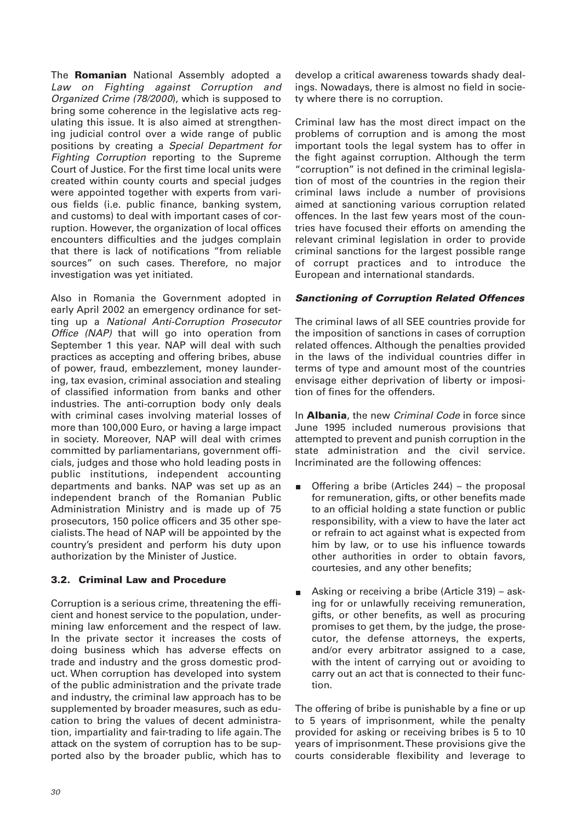The **Romanian** National Assembly adopted a Law on Fighting against Corruption and Organized Crime (78/2000), which is supposed to bring some coherence in the legislative acts regulating this issue. It is also aimed at strengthening judicial control over a wide range of public positions by creating a Special Department for Fighting Corruption reporting to the Supreme Court of Justice. For the first time local units were created within county courts and special judges were appointed together with experts from various fields (i.e. public finance, banking system, and customs) to deal with important cases of corruption. However, the organization of local offices encounters difficulties and the judges complain that there is lack of notifications "from reliable sources" on such cases. Therefore, no major investigation was yet initiated.

Also in Romania the Government adopted in early April 2002 an emergency ordinance for setting up a National Anti-Corruption Prosecutor Office (NAP) that will go into operation from September 1 this year. NAP will deal with such practices as accepting and offering bribes, abuse of power, fraud, embezzlement, money laundering, tax evasion, criminal association and stealing of classified information from banks and other industries. The anti-corruption body only deals with criminal cases involving material losses of more than 100,000 Euro, or having a large impact in society. Moreover, NAP will deal with crimes committed by parliamentarians, government officials, judges and those who hold leading posts in public institutions, independent accounting departments and banks. NAP was set up as an independent branch of the Romanian Public Administration Ministry and is made up of 75 prosecutors, 150 police officers and 35 other specialists. The head of NAP will be appointed by the country's president and perform his duty upon authorization by the Minister of Justice.

# **3.2. Criminal Law and Procedure**

Corruption is a serious crime, threatening the efficient and honest service to the population, undermining law enforcement and the respect of law. In the private sector it increases the costs of doing business which has adverse effects on trade and industry and the gross domestic product. When corruption has developed into system of the public administration and the private trade and industry, the criminal law approach has to be supplemented by broader measures, such as education to bring the values of decent administration, impartiality and fair-trading to life again. The attack on the system of corruption has to be supported also by the broader public, which has to

develop a critical awareness towards shady dealings. Nowadays, there is almost no field in society where there is no corruption.

Criminal law has the most direct impact on the problems of corruption and is among the most important tools the legal system has to offer in the fight against corruption. Although the term "corruption" is not defined in the criminal legislation of most of the countries in the region their criminal laws include a number of provisions aimed at sanctioning various corruption related offences. In the last few years most of the countries have focused their efforts on amending the relevant criminal legislation in order to provide criminal sanctions for the largest possible range of corrupt practices and to introduce the European and international standards.

# *Sanctioning of Corruption Related Offences*

The criminal laws of all SEE countries provide for the imposition of sanctions in cases of corruption related offences. Although the penalties provided in the laws of the individual countries differ in terms of type and amount most of the countries envisage either deprivation of liberty or imposition of fines for the offenders.

In **Albania**, the new Criminal Code in force since June 1995 included numerous provisions that attempted to prevent and punish corruption in the state administration and the civil service. Incriminated are the following offences:

- Offering a bribe (Articles 244) the proposal  $\blacksquare$ for remuneration, gifts, or other benefits made to an official holding a state function or public responsibility, with a view to have the later act or refrain to act against what is expected from him by law, or to use his influence towards other authorities in order to obtain favors, courtesies, and any other benefits;
- Asking or receiving a bribe (Article 319) asking for or unlawfully receiving remuneration, gifts, or other benefits, as well as procuring promises to get them, by the judge, the prosecutor, the defense attorneys, the experts, and/or every arbitrator assigned to a case, with the intent of carrying out or avoiding to carry out an act that is connected to their function.

The offering of bribe is punishable by a fine or up to 5 years of imprisonment, while the penalty provided for asking or receiving bribes is 5 to 10 years of imprisonment. These provisions give the courts considerable flexibility and leverage to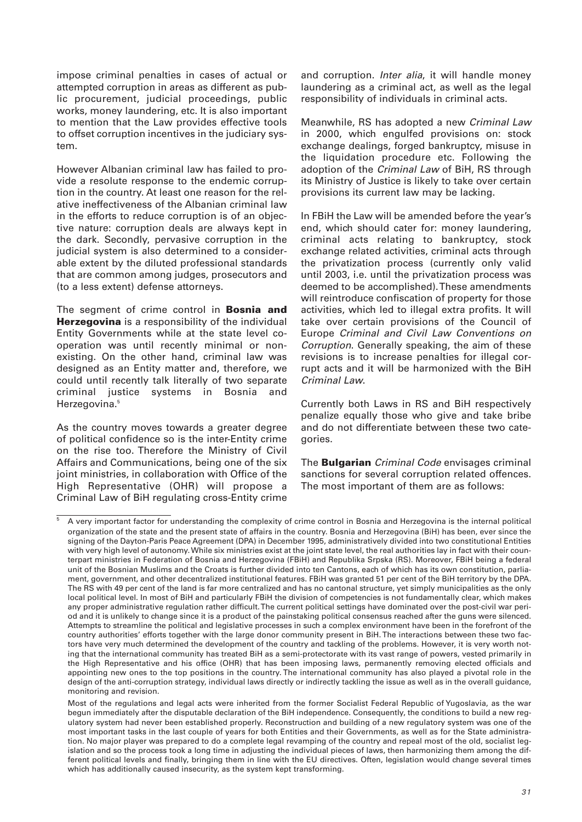impose criminal penalties in cases of actual or attempted corruption in areas as different as public procurement, judicial proceedings, public works, money laundering, etc. It is also important to mention that the Law provides effective tools to offset corruption incentives in the judiciary system.

However Albanian criminal law has failed to provide a resolute response to the endemic corruption in the country. At least one reason for the relative ineffectiveness of the Albanian criminal law in the efforts to reduce corruption is of an objective nature: corruption deals are always kept in the dark. Secondly, pervasive corruption in the judicial system is also determined to a considerable extent by the diluted professional standards that are common among judges, prosecutors and (to a less extent) defense attorneys.

The segment of crime control in **Bosnia and Herzegovina** is a responsibility of the individual Entity Governments while at the state level cooperation was until recently minimal or nonexisting. On the other hand, criminal law was designed as an Entity matter and, therefore, we could until recently talk literally of two separate criminal justice systems in Bosnia and Herzegovina.<sup>5</sup>

As the country moves towards a greater degree of political confidence so is the inter-Entity crime on the rise too. Therefore the Ministry of Civil Affairs and Communications, being one of the six joint ministries, in collaboration with Office of the High Representative (OHR) will propose a Criminal Law of BiH regulating cross-Entity crime

and corruption. Inter alia, it will handle money laundering as a criminal act, as well as the legal responsibility of individuals in criminal acts.

Meanwhile, RS has adopted a new Criminal Law in 2000, which engulfed provisions on: stock exchange dealings, forged bankruptcy, misuse in the liquidation procedure etc. Following the adoption of the Criminal Law of BiH, RS through its Ministry of Justice is likely to take over certain provisions its current law may be lacking.

In FBiH the Law will be amended before the year's end, which should cater for: money laundering, criminal acts relating to bankruptcy, stock exchange related activities, criminal acts through the privatization process (currently only valid until 2003, i.e. until the privatization process was deemed to be accomplished). These amendments will reintroduce confiscation of property for those activities, which led to illegal extra profits. It will take over certain provisions of the Council of Europe Criminal and Civil Law Conventions on Corruption. Generally speaking, the aim of these revisions is to increase penalties for illegal corrupt acts and it will be harmonized with the BiH Criminal Law.

Currently both Laws in RS and BiH respectively penalize equally those who give and take bribe and do not differentiate between these two categories.

The **Bulgarian** Criminal Code envisages criminal sanctions for several corruption related offences. The most important of them are as follows:

<sup>5</sup> A very important factor for understanding the complexity of crime control in Bosnia and Herzegovina is the internal political organization of the state and the present state of affairs in the country. Bosnia and Herzegovina (BiH) has been, ever since the signing of the Dayton-Paris Peace Agreement (DPA) in December 1995, administratively divided into two constitutional Entities with very high level of autonomy. While six ministries exist at the joint state level, the real authorities lay in fact with their counterpart ministries in Federation of Bosnia and Herzegovina (FBiH) and Republika Srpska (RS). Moreover, FBiH being a federal unit of the Bosnian Muslims and the Croats is further divided into ten Cantons, each of which has its own constitution, parliament, government, and other decentralized institutional features. FBiH was granted 51 per cent of the BiH territory by the DPA. The RS with 49 per cent of the land is far more centralized and has no cantonal structure, yet simply municipalities as the only local political level. In most of BiH and particularly FBiH the division of competencies is not fundamentally clear, which makes any proper administrative regulation rather difficult. The current political settings have dominated over the post-civil war period and it is unlikely to change since it is a product of the painstaking political consensus reached after the guns were silenced. Attempts to streamline the political and legislative processes in such a complex environment have been in the forefront of the country authorities' efforts together with the large donor community present in BiH. The interactions between these two factors have very much determined the development of the country and tackling of the problems. However, it is very worth noting that the international community has treated BiH as a semi-protectorate with its vast range of powers, vested primarily in the High Representative and his office (OHR) that has been imposing laws, permanently removing elected officials and appointing new ones to the top positions in the country. The international community has also played a pivotal role in the design of the anti-corruption strategy, individual laws directly or indirectly tackling the issue as well as in the overall guidance, monitoring and revision.

Most of the regulations and legal acts were inherited from the former Socialist Federal Republic of Yugoslavia, as the war begun immediately after the disputable declaration of the BiH independence. Consequently, the conditions to build a new regulatory system had never been established properly. Reconstruction and building of a new regulatory system was one of the most important tasks in the last couple of years for both Entities and their Governments, as well as for the State administration. No major player was prepared to do a complete legal revamping of the country and repeal most of the old, socialist legislation and so the process took a long time in adjusting the individual pieces of laws, then harmonizing them among the different political levels and finally, bringing them in line with the EU directives. Often, legislation would change several times which has additionally caused insecurity, as the system kept transforming.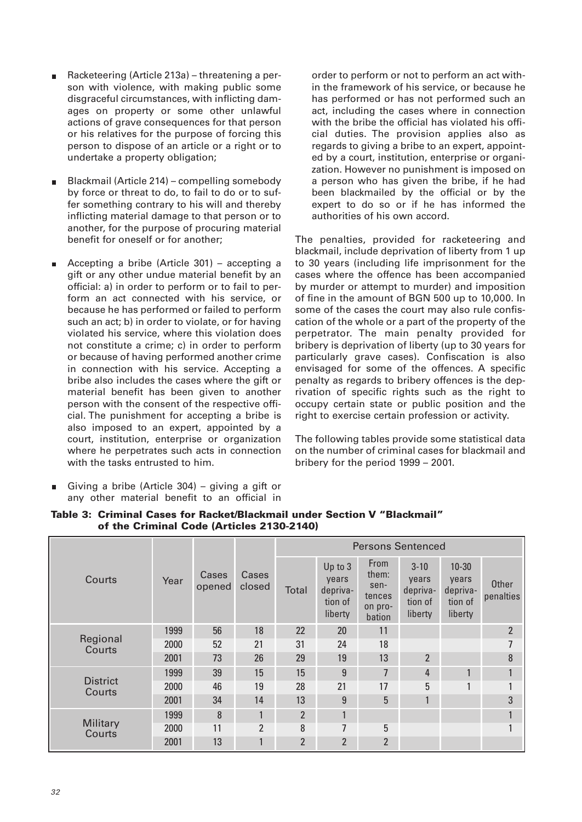- Racketeering (Article 213a) threatening a person with violence, with making public some disgraceful circumstances, with inflicting damages on property or some other unlawful actions of grave consequences for that person or his relatives for the purpose of forcing this person to dispose of an article or a right or to undertake a property obligation;
- Blackmail (Article 214) compelling somebody m. by force or threat to do, to fail to do or to suffer something contrary to his will and thereby inflicting material damage to that person or to another, for the purpose of procuring material benefit for oneself or for another;
- Accepting a bribe (Article 301) accepting a gift or any other undue material benefit by an official: a) in order to perform or to fail to perform an act connected with his service, or because he has performed or failed to perform such an act; b) in order to violate, or for having violated his service, where this violation does not constitute a crime; c) in order to perform or because of having performed another crime in connection with his service. Accepting a bribe also includes the cases where the gift or material benefit has been given to another person with the consent of the respective official. The punishment for accepting a bribe is also imposed to an expert, appointed by a court, institution, enterprise or organization where he perpetrates such acts in connection with the tasks entrusted to him.
- Giving a bribe (Article 304) giving a gift or any other material benefit to an official in

order to perform or not to perform an act within the framework of his service, or because he has performed or has not performed such an act, including the cases where in connection with the bribe the official has violated his official duties. The provision applies also as regards to giving a bribe to an expert, appointed by a court, institution, enterprise or organization. However no punishment is imposed on a person who has given the bribe, if he had been blackmailed by the official or by the expert to do so or if he has informed the authorities of his own accord.

The penalties, provided for racketeering and blackmail, include deprivation of liberty from 1 up to 30 years (including life imprisonment for the cases where the offence has been accompanied by murder or attempt to murder) and imposition of fine in the amount of BGN 500 up to 10,000. In some of the cases the court may also rule confiscation of the whole or a part of the property of the perpetrator. The main penalty provided for bribery is deprivation of liberty (up to 30 years for particularly grave cases). Confiscation is also envisaged for some of the offences. A specific penalty as regards to bribery offences is the deprivation of specific rights such as the right to occupy certain state or public position and the right to exercise certain profession or activity.

The following tables provide some statistical data on the number of criminal cases for blackmail and bribery for the period 1999 – 2001.

| Courts                    | Year | Cases<br>opened | Cases<br>closed | <b>Persons Sentenced</b> |                                                    |                                                             |                                                     |                                                      |                           |
|---------------------------|------|-----------------|-----------------|--------------------------|----------------------------------------------------|-------------------------------------------------------------|-----------------------------------------------------|------------------------------------------------------|---------------------------|
|                           |      |                 |                 | Total                    | Up to 3<br>years<br>depriva-<br>tion of<br>liberty | <b>From</b><br>them:<br>sen-<br>tences<br>on pro-<br>bation | $3 - 10$<br>years<br>depriva-<br>tion of<br>liberty | $10 - 30$<br>years<br>depriva-<br>tion of<br>liberty | <b>Other</b><br>penalties |
| Regional<br>Courts        | 1999 | 56              | 18              | 22                       | 20                                                 | 11                                                          |                                                     |                                                      | $\overline{2}$            |
|                           | 2000 | 52              | 21              | 31                       | 24                                                 | 18                                                          |                                                     |                                                      | 7                         |
|                           | 2001 | 73              | 26              | 29                       | 19                                                 | 13                                                          | $\overline{2}$                                      |                                                      | 8                         |
| <b>District</b><br>Courts | 1999 | 39              | 15              | 15                       | 9                                                  | $\overline{7}$                                              | $\overline{4}$                                      | 1                                                    | $\mathbf{1}$              |
|                           | 2000 | 46              | 19              | 28                       | 21                                                 | 17                                                          | 5                                                   |                                                      |                           |
|                           | 2001 | 34              | 14              | 13                       | 9                                                  | 5                                                           | 1                                                   |                                                      | 3                         |
| <b>Military</b><br>Courts | 1999 | 8               | 1               | $\overline{2}$           | $\mathbf{1}$                                       |                                                             |                                                     |                                                      |                           |
|                           | 2000 | 11              | 2               | 8                        | 7                                                  | 5                                                           |                                                     |                                                      |                           |
|                           | 2001 | 13              | $\mathbf{1}$    | $\overline{2}$           | $\overline{2}$                                     | $\overline{2}$                                              |                                                     |                                                      |                           |

#### **Table 3: Criminal Cases for Racket/Blackmail under Section V "Blackmail" of the Criminal Code (Articles 2130-2140)**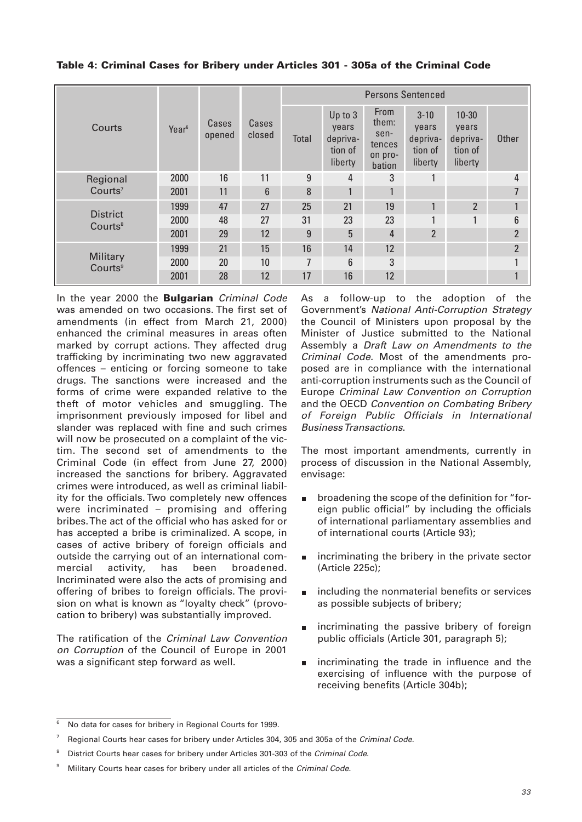|                                        |                   |                 |                 | <b>Persons Sentenced</b> |                                                    |                                                      |                                                     |                                                      |                |
|----------------------------------------|-------------------|-----------------|-----------------|--------------------------|----------------------------------------------------|------------------------------------------------------|-----------------------------------------------------|------------------------------------------------------|----------------|
| Courts                                 | Year <sup>6</sup> | Cases<br>opened | Cases<br>closed | Total                    | Up to 3<br>years<br>depriva-<br>tion of<br>liberty | From<br>them:<br>sen-<br>tences<br>on pro-<br>bation | $3 - 10$<br>years<br>depriva-<br>tion of<br>liberty | $10 - 30$<br>years<br>depriva-<br>tion of<br>liberty | <b>Other</b>   |
| Regional<br>Country <sup>7</sup>       | 2000              | 16              | 11              | 9                        | $\overline{4}$                                     | 3                                                    |                                                     |                                                      | 4              |
|                                        | 2001              | 11              | 6               | 8                        | 1                                                  |                                                      |                                                     |                                                      | 7              |
| <b>District</b><br>Courts <sup>8</sup> | 1999              | 47              | 27              | 25                       | 21                                                 | 19                                                   | 1                                                   | $\overline{2}$                                       |                |
|                                        | 2000              | 48              | 27              | 31                       | 23                                                 | 23                                                   | 1                                                   | 1                                                    | 6              |
|                                        | 2001              | 29              | 12              | 9                        | 5                                                  | 4                                                    | $\overline{2}$                                      |                                                      | $\overline{2}$ |
| Military<br>Courts <sup>9</sup>        | 1999              | 21              | 15              | 16                       | 14                                                 | 12                                                   |                                                     |                                                      | $\overline{2}$ |
|                                        | 2000              | 20              | 10              | 7                        | 6                                                  | 3                                                    |                                                     |                                                      |                |
|                                        | 2001              | 28              | 12              | 17                       | 16                                                 | 12                                                   |                                                     |                                                      |                |

#### **Table 4: Criminal Cases for Bribery under Articles 301 - 305a of the Criminal Code**

In the year 2000 the **Bulgarian** Criminal Code was amended on two occasions. The first set of amendments (in effect from March 21, 2000) enhanced the criminal measures in areas often marked by corrupt actions. They affected drug trafficking by incriminating two new aggravated offences – enticing or forcing someone to take drugs. The sanctions were increased and the forms of crime were expanded relative to the theft of motor vehicles and smuggling. The imprisonment previously imposed for libel and slander was replaced with fine and such crimes will now be prosecuted on a complaint of the victim. The second set of amendments to the Criminal Code (in effect from June 27, 2000) increased the sanctions for bribery. Aggravated crimes were introduced, as well as criminal liability for the officials. Two completely new offences were incriminated – promising and offering bribes. The act of the official who has asked for or has accepted a bribe is criminalized. A scope, in cases of active bribery of foreign officials and outside the carrying out of an international commercial activity, has been broadened. Incriminated were also the acts of promising and offering of bribes to foreign officials. The provision on what is known as "loyalty check" (provocation to bribery) was substantially improved.

The ratification of the Criminal Law Convention on Corruption of the Council of Europe in 2001 was a significant step forward as well.

As a follow-up to the adoption of the Government's National Anti-Corruption Strategy the Council of Ministers upon proposal by the Minister of Justice submitted to the National Assembly a Draft Law on Amendments to the Criminal Code. Most of the amendments proposed are in compliance with the international anti-corruption instruments such as the Council of Europe Criminal Law Convention on Corruption and the OECD Convention on Combating Bribery of Foreign Public Officials in International Business Transactions.

The most important amendments, currently in process of discussion in the National Assembly, envisage:

- broadening the scope of the definition for "foreign public official" by including the officials of international parliamentary assemblies and of international courts (Article 93);
- incriminating the bribery in the private sector (Article 225c);
- including the nonmaterial benefits or services  $\blacksquare$ as possible subjects of bribery;
- incriminating the passive bribery of foreign public officials (Article 301, paragraph 5);
- incriminating the trade in influence and the exercising of influence with the purpose of receiving benefits (Article 304b);

<sup>6</sup> No data for cases for bribery in Regional Courts for 1999.

Regional Courts hear cases for bribery under Articles 304, 305 and 305a of the Criminal Code.

District Courts hear cases for bribery under Articles 301-303 of the Criminal Code.

Military Courts hear cases for bribery under all articles of the Criminal Code.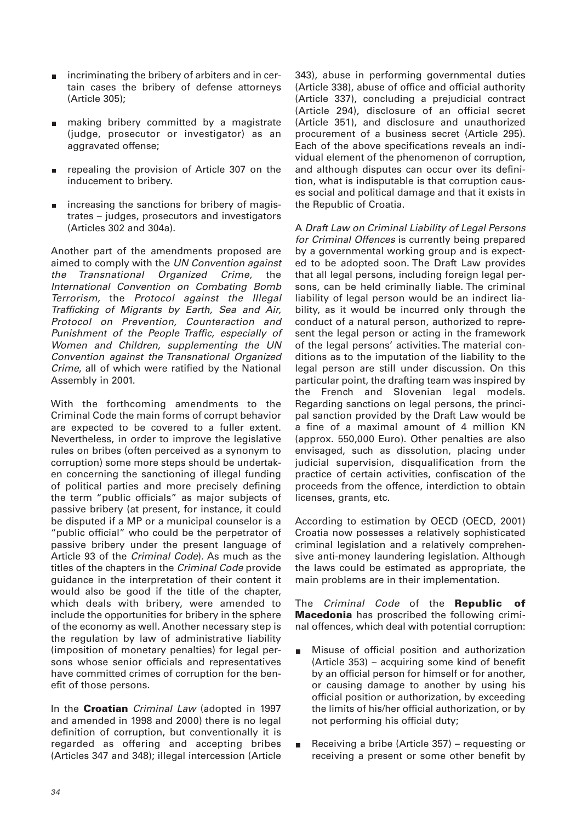- incriminating the bribery of arbiters and in certain cases the bribery of defense attorneys (Article 305);
- making bribery committed by a magistrate (judge, prosecutor or investigator) as an aggravated offense;
- repealing the provision of Article 307 on the inducement to bribery.
- increasing the sanctions for bribery of magistrates – judges, prosecutors and investigators (Articles 302 and 304a).

Another part of the amendments proposed are aimed to comply with the UN Convention against the Transnational Organized Crime, the International Convention on Combating Bomb Terrorism, the Protocol against the Illegal Trafficking of Migrants by Earth, Sea and Air, Protocol on Prevention, Counteraction and Punishment of the People Traffic, especially of Women and Children, supplementing the UN Convention against the Transnational Organized Crime, all of which were ratified by the National Assembly in 2001.

With the forthcoming amendments to the Criminal Code the main forms of corrupt behavior are expected to be covered to a fuller extent. Nevertheless, in order to improve the legislative rules on bribes (often perceived as a synonym to corruption) some more steps should be undertaken concerning the sanctioning of illegal funding of political parties and more precisely defining the term "public officials" as major subjects of passive bribery (at present, for instance, it could be disputed if a MP or a municipal counselor is a "public official" who could be the perpetrator of passive bribery under the present language of Article 93 of the Criminal Code). As much as the titles of the chapters in the Criminal Code provide guidance in the interpretation of their content it would also be good if the title of the chapter, which deals with bribery, were amended to include the opportunities for bribery in the sphere of the economy as well. Another necessary step is the regulation by law of administrative liability (imposition of monetary penalties) for legal persons whose senior officials and representatives have committed crimes of corruption for the benefit of those persons.

In the **Croatian** Criminal Law (adopted in 1997 and amended in 1998 and 2000) there is no legal definition of corruption, but conventionally it is regarded as offering and accepting bribes (Articles 347 and 348); illegal intercession (Article

343), abuse in performing governmental duties (Article 338), abuse of office and official authority (Article 337), concluding a prejudicial contract (Article 294), disclosure of an official secret (Article 351), and disclosure and unauthorized procurement of a business secret (Article 295). Each of the above specifications reveals an individual element of the phenomenon of corruption, and although disputes can occur over its definition, what is indisputable is that corruption causes social and political damage and that it exists in the Republic of Croatia.

A Draft Law on Criminal Liability of Legal Persons for Criminal Offences is currently being prepared by a governmental working group and is expected to be adopted soon. The Draft Law provides that all legal persons, including foreign legal persons, can be held criminally liable. The criminal liability of legal person would be an indirect liability, as it would be incurred only through the conduct of a natural person, authorized to represent the legal person or acting in the framework of the legal persons' activities. The material conditions as to the imputation of the liability to the legal person are still under discussion. On this particular point, the drafting team was inspired by the French and Slovenian legal models. Regarding sanctions on legal persons, the principal sanction provided by the Draft Law would be a fine of a maximal amount of 4 million KN (approx. 550,000 Euro). Other penalties are also envisaged, such as dissolution, placing under judicial supervision, disqualification from the practice of certain activities, confiscation of the proceeds from the offence, interdiction to obtain licenses, grants, etc.

According to estimation by OECD (OECD, 2001) Croatia now possesses a relatively sophisticated criminal legislation and a relatively comprehensive anti-money laundering legislation. Although the laws could be estimated as appropriate, the main problems are in their implementation.

The Criminal Code of the **Republic of Macedonia** has proscribed the following criminal offences, which deal with potential corruption:

- Misuse of official position and authorization  $\blacksquare$ (Article 353) – acquiring some kind of benefit by an official person for himself or for another, or causing damage to another by using his official position or authorization, by exceeding the limits of his/her official authorization, or by not performing his official duty;
- Receiving a bribe (Article 357) requesting or Ė receiving a present or some other benefit by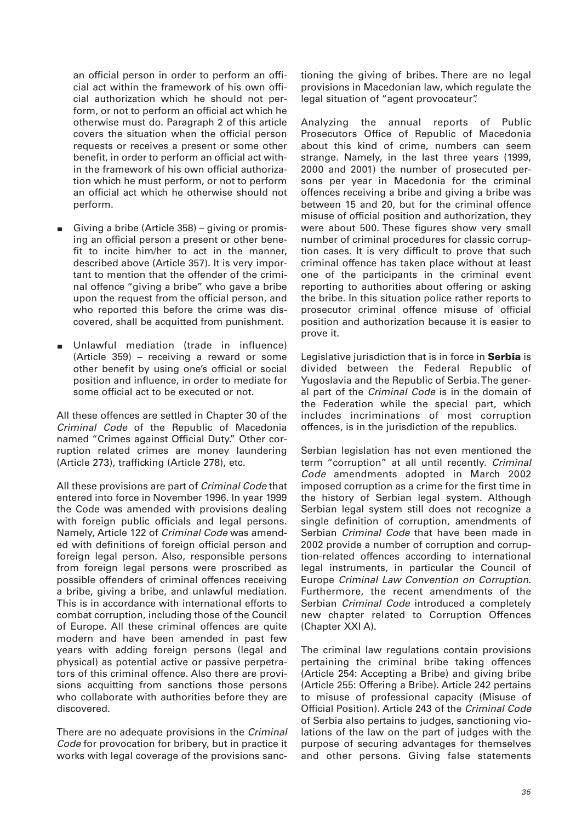an official person in order to perform an official act within the framework of his own official authorization which he should not perform, or not to perform an official act which he otherwise must do. Paragraph 2 of this article covers the situation when the official person requests or receives a present or some other benefit, in order to perform an official act within the framework of his own official authorization which he must perform, or not to perform an official act which he otherwise should not perform.

- Giving a bribe (Article 358) giving or promising an official person a present or other benefit to incite him/her to act in the manner, described above (Article 357). It is very important to mention that the offender of the criminal offence "giving a bribe" who gave a bribe upon the request from the official person, and who reported this before the crime was discovered, shall be acquitted from punishment.
- Unlawful mediation (trade in influence)  $\blacksquare$ (Article 359) – receiving a reward or some other benefit by using one's official or social position and influence, in order to mediate for some official act to be executed or not.

All these offences are settled in Chapter 30 of the Criminal Code of the Republic of Macedonia named "Crimes against Official Duty." Other corruption related crimes are money laundering (Article 273), trafficking (Article 278), etc.

All these provisions are part of Criminal Code that entered into force in November 1996. In year 1999 the Code was amended with provisions dealing with foreign public officials and legal persons. Namely, Article 122 of Criminal Code was amended with definitions of foreign official person and foreign legal person. Also, responsible persons from foreign legal persons were proscribed as possible offenders of criminal offences receiving a bribe, giving a bribe, and unlawful mediation. This is in accordance with international efforts to combat corruption, including those of the Council of Europe. All these criminal offences are quite modern and have been amended in past few years with adding foreign persons (legal and physical) as potential active or passive perpetrators of this criminal offence. Also there are provisions acquitting from sanctions those persons who collaborate with authorities before they are discovered.

There are no adequate provisions in the Criminal Code for provocation for bribery, but in practice it works with legal coverage of the provisions sanctioning the giving of bribes. There are no legal provisions in Macedonian law, which regulate the legal situation of "agent provocateur".

Analyzing the annual reports of Public Prosecutors Office of Republic of Macedonia about this kind of crime, numbers can seem strange. Namely, in the last three years (1999, 2000 and 2001) the number of prosecuted persons per year in Macedonia for the criminal offences receiving a bribe and giving a bribe was between 15 and 20, but for the criminal offence misuse of official position and authorization, they were about 500. These figures show very small number of criminal procedures for classic corruption cases. It is very difficult to prove that such criminal offence has taken place without at least one of the participants in the criminal event reporting to authorities about offering or asking the bribe. In this situation police rather reports to prosecutor criminal offence misuse of official position and authorization because it is easier to prove it.

Legislative jurisdiction that is in force in **Serbia** is divided between the Federal Republic of Yugoslavia and the Republic of Serbia. The general part of the Criminal Code is in the domain of the Federation while the special part, which includes incriminations of most corruption offences, is in the jurisdiction of the republics.

Serbian legislation has not even mentioned the term "corruption" at all until recently. Criminal Code amendments adopted in March 2002 imposed corruption as a crime for the first time in the history of Serbian legal system. Although Serbian legal system still does not recognize a single definition of corruption, amendments of Serbian Criminal Code that have been made in 2002 provide a number of corruption and corruption-related offences according to international legal instruments, in particular the Council of Europe Criminal Law Convention on Corruption. Furthermore, the recent amendments of the Serbian Criminal Code introduced a completely new chapter related to Corruption Offences (Chapter XXI A).

The criminal law regulations contain provisions pertaining the criminal bribe taking offences (Article 254: Accepting a Bribe) and giving bribe (Article 255: Offering a Bribe). Article 242 pertains to misuse of professional capacity (Misuse of Official Position). Article 243 of the Criminal Code of Serbia also pertains to judges, sanctioning violations of the law on the part of judges with the purpose of securing advantages for themselves and other persons. Giving false statements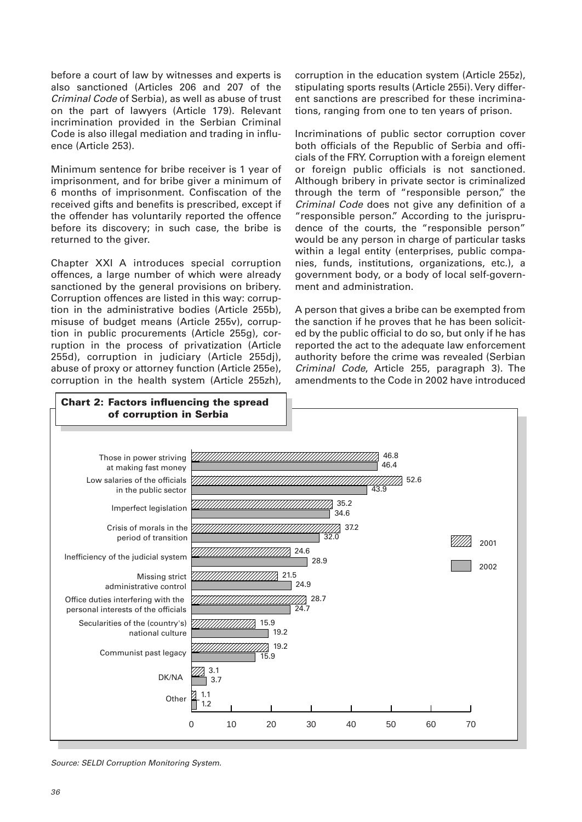before a court of law by witnesses and experts is also sanctioned (Articles 206 and 207 of the Criminal Code of Serbia), as well as abuse of trust on the part of lawyers (Article 179). Relevant incrimination provided in the Serbian Criminal Code is also illegal mediation and trading in influence (Article 253).

Minimum sentence for bribe receiver is 1 year of imprisonment, and for bribe giver a minimum of 6 months of imprisonment. Confiscation of the received gifts and benefits is prescribed, except if the offender has voluntarily reported the offence before its discovery; in such case, the bribe is returned to the giver.

Chapter XXI A introduces special corruption offences, a large number of which were already sanctioned by the general provisions on bribery. Corruption offences are listed in this way: corruption in the administrative bodies (Article 255b), misuse of budget means (Article 255v), corruption in public procurements (Article 255g), corruption in the process of privatization (Article 255d), corruption in judiciary (Article 255dj), abuse of proxy or attorney function (Article 255e), corruption in the health system (Article 255zh),

corruption in the education system (Article 255z), stipulating sports results (Article 255i). Very different sanctions are prescribed for these incriminations, ranging from one to ten years of prison.

Incriminations of public sector corruption cover both officials of the Republic of Serbia and officials of the FRY. Corruption with a foreign element or foreign public officials is not sanctioned. Although bribery in private sector is criminalized through the term of "responsible person," the Criminal Code does not give any definition of a "responsible person." According to the jurisprudence of the courts, the "responsible person" would be any person in charge of particular tasks within a legal entity (enterprises, public companies, funds, institutions, organizations, etc.), a government body, or a body of local self-government and administration.

A person that gives a bribe can be exempted from the sanction if he proves that he has been solicited by the public official to do so, but only if he has reported the act to the adequate law enforcement authority before the crime was revealed (Serbian Criminal Code, Article 255, paragraph 3). The amendments to the Code in 2002 have introduced



Source: SELDI Corruption Monitoring System.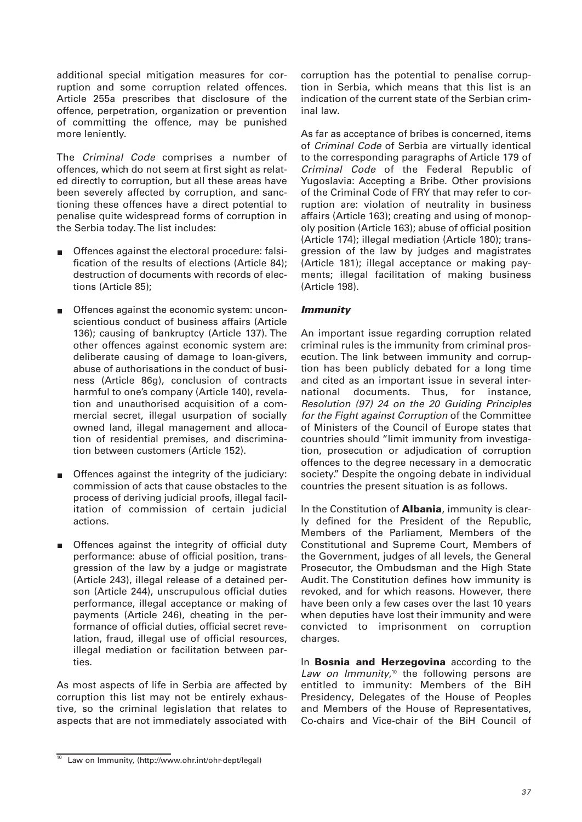additional special mitigation measures for corruption and some corruption related offences. Article 255a prescribes that disclosure of the offence, perpetration, organization or prevention of committing the offence, may be punished more leniently.

The Criminal Code comprises a number of offences, which do not seem at first sight as related directly to corruption, but all these areas have been severely affected by corruption, and sanctioning these offences have a direct potential to penalise quite widespread forms of corruption in the Serbia today. The list includes:

- Offences against the electoral procedure: falsification of the results of elections (Article 84); destruction of documents with records of elections (Article 85);
- Offences against the economic system: uncon- $\blacksquare$ scientious conduct of business affairs (Article 136); causing of bankruptcy (Article 137). The other offences against economic system are: deliberate causing of damage to loan-givers, abuse of authorisations in the conduct of business (Article 86g), conclusion of contracts harmful to one's company (Article 140), revelation and unauthorised acquisition of a commercial secret, illegal usurpation of socially owned land, illegal management and allocation of residential premises, and discrimination between customers (Article 152).
- Offences against the integrity of the judiciary: m. commission of acts that cause obstacles to the process of deriving judicial proofs, illegal facilitation of commission of certain judicial actions.
- Offences against the integrity of official duty performance: abuse of official position, transgression of the law by a judge or magistrate (Article 243), illegal release of a detained person (Article 244), unscrupulous official duties performance, illegal acceptance or making of payments (Article 246), cheating in the performance of official duties, official secret revelation, fraud, illegal use of official resources, illegal mediation or facilitation between parties.

As most aspects of life in Serbia are affected by corruption this list may not be entirely exhaustive, so the criminal legislation that relates to aspects that are not immediately associated with

corruption has the potential to penalise corruption in Serbia, which means that this list is an indication of the current state of the Serbian criminal law.

As far as acceptance of bribes is concerned, items of Criminal Code of Serbia are virtually identical to the corresponding paragraphs of Article 179 of Criminal Code of the Federal Republic of Yugoslavia: Accepting a Bribe. Other provisions of the Criminal Code of FRY that may refer to corruption are: violation of neutrality in business affairs (Article 163); creating and using of monopoly position (Article 163); abuse of official position (Article 174); illegal mediation (Article 180); transgression of the law by judges and magistrates (Article 181); illegal acceptance or making payments; illegal facilitation of making business (Article 198).

### *Immunity*

An important issue regarding corruption related criminal rules is the immunity from criminal prosecution. The link between immunity and corruption has been publicly debated for a long time and cited as an important issue in several international documents. Thus, for instance, Resolution (97) 24 on the 20 Guiding Principles for the Fight against Corruption of the Committee of Ministers of the Council of Europe states that countries should "limit immunity from investigation, prosecution or adjudication of corruption offences to the degree necessary in a democratic society." Despite the ongoing debate in individual countries the present situation is as follows.

In the Constitution of **Albania**, immunity is clearly defined for the President of the Republic, Members of the Parliament, Members of the Constitutional and Supreme Court, Members of the Government, judges of all levels, the General Prosecutor, the Ombudsman and the High State Audit. The Constitution defines how immunity is revoked, and for which reasons. However, there have been only a few cases over the last 10 years when deputies have lost their immunity and were convicted to imprisonment on corruption charges.

In **Bosnia and Herzegovina** according to the Law on Immunity,<sup>10</sup> the following persons are entitled to immunity: Members of the BiH Presidency, Delegates of the House of Peoples and Members of the House of Representatives, Co-chairs and Vice-chair of the BiH Council of

<sup>&</sup>lt;sup>10</sup> Law on Immunity, (http://www.ohr.int/ohr-dept/legal)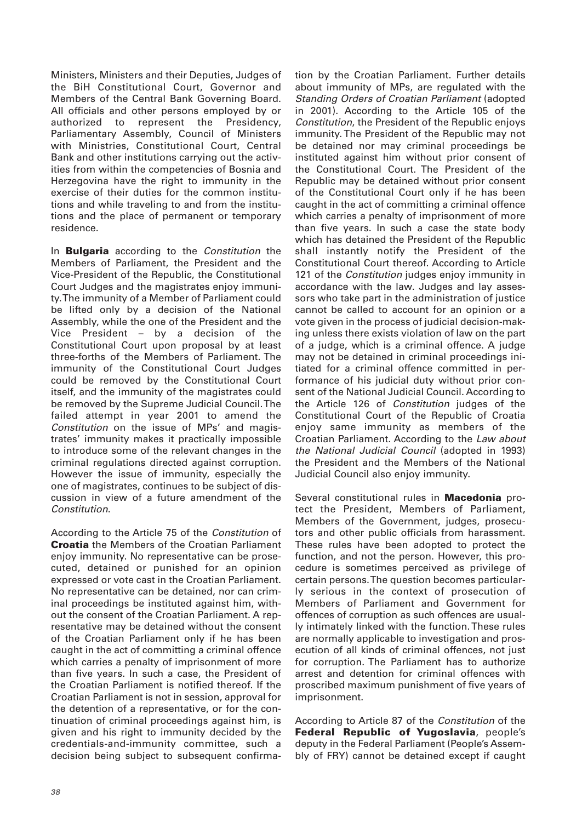Ministers, Ministers and their Deputies, Judges of the BiH Constitutional Court, Governor and Members of the Central Bank Governing Board. All officials and other persons employed by or authorized to represent the Presidency, Parliamentary Assembly, Council of Ministers with Ministries, Constitutional Court, Central Bank and other institutions carrying out the activities from within the competencies of Bosnia and Herzegovina have the right to immunity in the exercise of their duties for the common institutions and while traveling to and from the institutions and the place of permanent or temporary residence.

In **Bulgaria** according to the Constitution the Members of Parliament, the President and the Vice-President of the Republic, the Constitutional Court Judges and the magistrates enjoy immunity. The immunity of a Member of Parliament could be lifted only by a decision of the National Assembly, while the one of the President and the Vice President – by a decision of the Constitutional Court upon proposal by at least three-forths of the Members of Parliament. The immunity of the Constitutional Court Judges could be removed by the Constitutional Court itself, and the immunity of the magistrates could be removed by the Supreme Judicial Council. The failed attempt in year 2001 to amend the Constitution on the issue of MPs' and magistrates' immunity makes it practically impossible to introduce some of the relevant changes in the criminal regulations directed against corruption. However the issue of immunity, especially the one of magistrates, continues to be subject of discussion in view of a future amendment of the Constitution.

According to the Article 75 of the Constitution of **Croatia** the Members of the Croatian Parliament enjoy immunity. No representative can be prosecuted, detained or punished for an opinion expressed or vote cast in the Croatian Parliament. No representative can be detained, nor can criminal proceedings be instituted against him, without the consent of the Croatian Parliament. A representative may be detained without the consent of the Croatian Parliament only if he has been caught in the act of committing a criminal offence which carries a penalty of imprisonment of more than five years. In such a case, the President of the Croatian Parliament is notified thereof. If the Croatian Parliament is not in session, approval for the detention of a representative, or for the continuation of criminal proceedings against him, is given and his right to immunity decided by the credentials-and-immunity committee, such a decision being subject to subsequent confirmation by the Croatian Parliament. Further details about immunity of MPs, are regulated with the Standing Orders of Croatian Parliament (adopted in 2001). According to the Article 105 of the Constitution, the President of the Republic enjoys immunity. The President of the Republic may not be detained nor may criminal proceedings be instituted against him without prior consent of the Constitutional Court. The President of the Republic may be detained without prior consent of the Constitutional Court only if he has been caught in the act of committing a criminal offence which carries a penalty of imprisonment of more than five years. In such a case the state body which has detained the President of the Republic shall instantly notify the President of the Constitutional Court thereof. According to Article 121 of the *Constitution* judges enjoy immunity in accordance with the law. Judges and lay assessors who take part in the administration of justice cannot be called to account for an opinion or a vote given in the process of judicial decision-making unless there exists violation of law on the part of a judge, which is a criminal offence. A judge may not be detained in criminal proceedings initiated for a criminal offence committed in performance of his judicial duty without prior consent of the National Judicial Council. According to the Article 126 of Constitution judges of the Constitutional Court of the Republic of Croatia enjoy same immunity as members of the Croatian Parliament. According to the Law about the National Judicial Council (adopted in 1993) the President and the Members of the National Judicial Council also enjoy immunity.

Several constitutional rules in **Macedonia** protect the President, Members of Parliament, Members of the Government, judges, prosecutors and other public officials from harassment. These rules have been adopted to protect the function, and not the person. However, this procedure is sometimes perceived as privilege of certain persons. The question becomes particularly serious in the context of prosecution of Members of Parliament and Government for offences of corruption as such offences are usually intimately linked with the function. These rules are normally applicable to investigation and prosecution of all kinds of criminal offences, not just for corruption. The Parliament has to authorize arrest and detention for criminal offences with proscribed maximum punishment of five years of imprisonment.

According to Article 87 of the Constitution of the **Federal Republic of Yugoslavia**, people's deputy in the Federal Parliament (People's Assembly of FRY) cannot be detained except if caught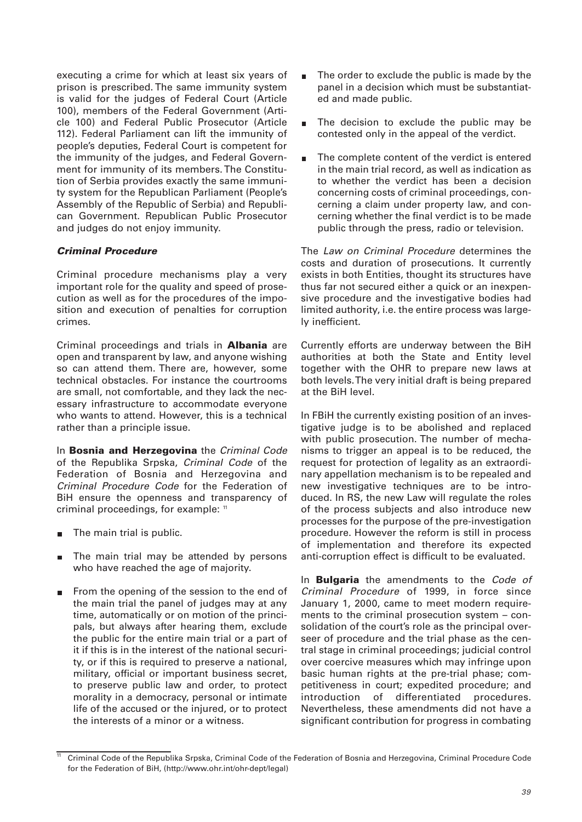executing a crime for which at least six years of prison is prescribed. The same immunity system is valid for the judges of Federal Court (Article 100), members of the Federal Government (Article 100) and Federal Public Prosecutor (Article 112). Federal Parliament can lift the immunity of people's deputies, Federal Court is competent for the immunity of the judges, and Federal Government for immunity of its members. The Constitution of Serbia provides exactly the same immunity system for the Republican Parliament (People's Assembly of the Republic of Serbia) and Republican Government. Republican Public Prosecutor and judges do not enjoy immunity.

### *Criminal Procedure*

Criminal procedure mechanisms play a very important role for the quality and speed of prosecution as well as for the procedures of the imposition and execution of penalties for corruption crimes.

Criminal proceedings and trials in **Albania** are open and transparent by law, and anyone wishing so can attend them. There are, however, some technical obstacles. For instance the courtrooms are small, not comfortable, and they lack the necessary infrastructure to accommodate everyone who wants to attend. However, this is a technical rather than a principle issue.

In **Bosnia and Herzegovina** the Criminal Code of the Republika Srpska, Criminal Code of the Federation of Bosnia and Herzegovina and Criminal Procedure Code for the Federation of BiH ensure the openness and transparency of criminal proceedings, for example: 11

- The main trial is public.  $\blacksquare$
- The main trial may be attended by persons  $\blacksquare$ who have reached the age of majority.
- From the opening of the session to the end of m. the main trial the panel of judges may at any time, automatically or on motion of the principals, but always after hearing them, exclude the public for the entire main trial or a part of it if this is in the interest of the national security, or if this is required to preserve a national, military, official or important business secret, to preserve public law and order, to protect morality in a democracy, personal or intimate life of the accused or the injured, or to protect the interests of a minor or a witness.
- The order to exclude the public is made by the panel in a decision which must be substantiated and made public.
- The decision to exclude the public may be contested only in the appeal of the verdict.
- The complete content of the verdict is entered in the main trial record, as well as indication as to whether the verdict has been a decision concerning costs of criminal proceedings, concerning a claim under property law, and concerning whether the final verdict is to be made public through the press, radio or television.

The Law on Criminal Procedure determines the costs and duration of prosecutions. It currently exists in both Entities, thought its structures have thus far not secured either a quick or an inexpensive procedure and the investigative bodies had limited authority, i.e. the entire process was largely inefficient.

Currently efforts are underway between the BiH authorities at both the State and Entity level together with the OHR to prepare new laws at both levels. The very initial draft is being prepared at the BiH level.

In FBiH the currently existing position of an investigative judge is to be abolished and replaced with public prosecution. The number of mechanisms to trigger an appeal is to be reduced, the request for protection of legality as an extraordinary appellation mechanism is to be repealed and new investigative techniques are to be introduced. In RS, the new Law will regulate the roles of the process subjects and also introduce new processes for the purpose of the pre-investigation procedure. However the reform is still in process of implementation and therefore its expected anti-corruption effect is difficult to be evaluated.

In **Bulgaria** the amendments to the Code of Criminal Procedure of 1999, in force since January 1, 2000, came to meet modern requirements to the criminal prosecution system – consolidation of the court's role as the principal overseer of procedure and the trial phase as the central stage in criminal proceedings; judicial control over coercive measures which may infringe upon basic human rights at the pre-trial phase; competitiveness in court; expedited procedure; and introduction of differentiated procedures. Nevertheless, these amendments did not have a significant contribution for progress in combating

<sup>11</sup> Criminal Code of the Republika Srpska, Criminal Code of the Federation of Bosnia and Herzegovina, Criminal Procedure Code for the Federation of BiH, (http://www.ohr.int/ohr-dept/legal)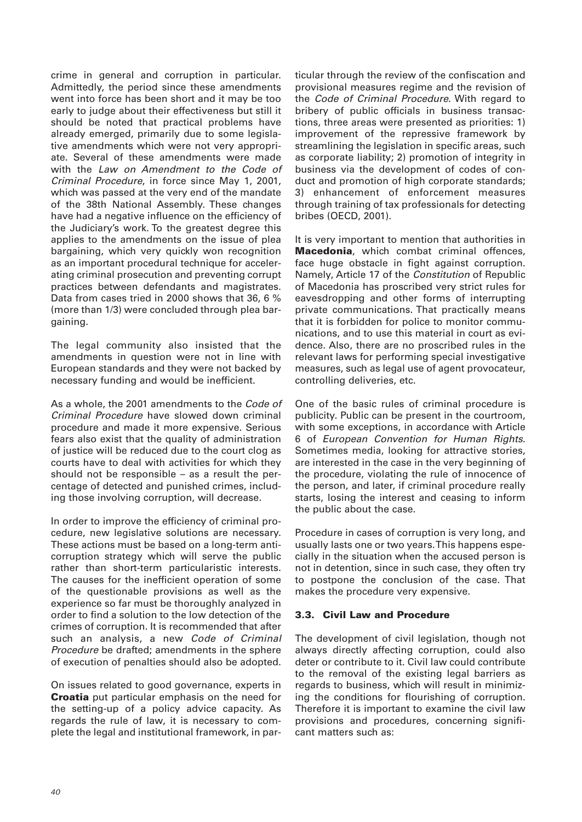crime in general and corruption in particular. Admittedly, the period since these amendments went into force has been short and it may be too early to judge about their effectiveness but still it should be noted that practical problems have already emerged, primarily due to some legislative amendments which were not very appropriate. Several of these amendments were made with the Law on Amendment to the Code of Criminal Procedure, in force since May 1, 2001, which was passed at the very end of the mandate of the 38th National Assembly. These changes have had a negative influence on the efficiency of the Judiciary's work. To the greatest degree this applies to the amendments on the issue of plea bargaining, which very quickly won recognition as an important procedural technique for accelerating criminal prosecution and preventing corrupt practices between defendants and magistrates. Data from cases tried in 2000 shows that 36, 6 % (more than 1/3) were concluded through plea bargaining.

The legal community also insisted that the amendments in question were not in line with European standards and they were not backed by necessary funding and would be inefficient.

As a whole, the 2001 amendments to the Code of Criminal Procedure have slowed down criminal procedure and made it more expensive. Serious fears also exist that the quality of administration of justice will be reduced due to the court clog as courts have to deal with activities for which they should not be responsible – as a result the percentage of detected and punished crimes, including those involving corruption, will decrease.

In order to improve the efficiency of criminal procedure, new legislative solutions are necessary. These actions must be based on a long-term anticorruption strategy which will serve the public rather than short-term particularistic interests. The causes for the inefficient operation of some of the questionable provisions as well as the experience so far must be thoroughly analyzed in order to find a solution to the low detection of the crimes of corruption. It is recommended that after such an analysis, a new Code of Criminal Procedure be drafted; amendments in the sphere of execution of penalties should also be adopted.

On issues related to good governance, experts in **Croatia** put particular emphasis on the need for the setting-up of a policy advice capacity. As regards the rule of law, it is necessary to complete the legal and institutional framework, in particular through the review of the confiscation and provisional measures regime and the revision of the Code of Criminal Procedure. With regard to bribery of public officials in business transactions, three areas were presented as priorities: 1) improvement of the repressive framework by streamlining the legislation in specific areas, such as corporate liability; 2) promotion of integrity in business via the development of codes of conduct and promotion of high corporate standards; 3) enhancement of enforcement measures through training of tax professionals for detecting bribes (OECD, 2001).

It is very important to mention that authorities in **Macedonia**, which combat criminal offences, face huge obstacle in fight against corruption. Namely, Article 17 of the Constitution of Republic of Macedonia has proscribed very strict rules for eavesdropping and other forms of interrupting private communications. That practically means that it is forbidden for police to monitor communications, and to use this material in court as evidence. Also, there are no proscribed rules in the relevant laws for performing special investigative measures, such as legal use of agent provocateur, controlling deliveries, etc.

One of the basic rules of criminal procedure is publicity. Public can be present in the courtroom, with some exceptions, in accordance with Article 6 of European Convention for Human Rights. Sometimes media, looking for attractive stories, are interested in the case in the very beginning of the procedure, violating the rule of innocence of the person, and later, if criminal procedure really starts, losing the interest and ceasing to inform the public about the case.

Procedure in cases of corruption is very long, and usually lasts one or two years. This happens especially in the situation when the accused person is not in detention, since in such case, they often try to postpone the conclusion of the case. That makes the procedure very expensive.

### **3.3. Civil Law and Procedure**

The development of civil legislation, though not always directly affecting corruption, could also deter or contribute to it. Civil law could contribute to the removal of the existing legal barriers as regards to business, which will result in minimizing the conditions for flourishing of corruption. Therefore it is important to examine the civil law provisions and procedures, concerning significant matters such as: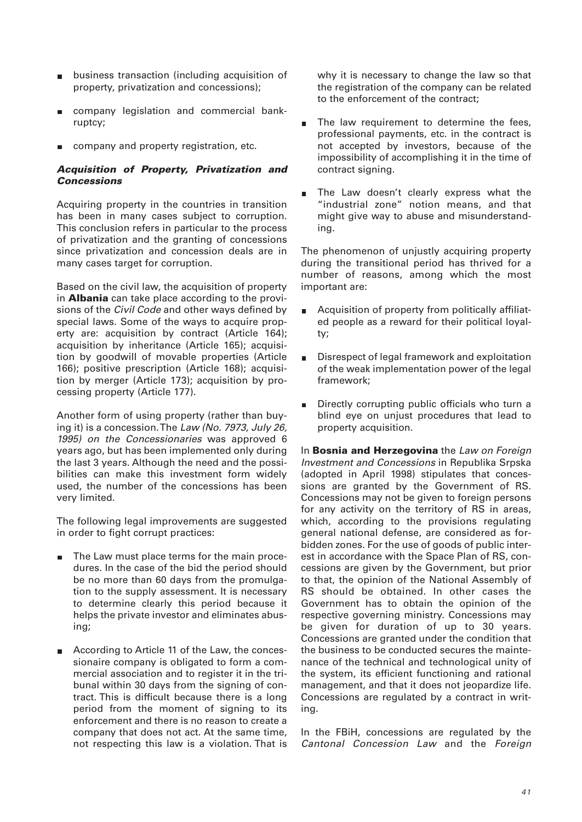- business transaction (including acquisition of property, privatization and concessions);
- company legislation and commercial bankruptcy;
- company and property registration, etc.  $\blacksquare$

#### *Acquisition of Property, Privatization and Concessions*

Acquiring property in the countries in transition has been in many cases subject to corruption. This conclusion refers in particular to the process of privatization and the granting of concessions since privatization and concession deals are in many cases target for corruption.

Based on the civil law, the acquisition of property in **Albania** can take place according to the provisions of the Civil Code and other ways defined by special laws. Some of the ways to acquire property are: acquisition by contract (Article 164); acquisition by inheritance (Article 165); acquisition by goodwill of movable properties (Article 166); positive prescription (Article 168); acquisition by merger (Article 173); acquisition by processing property (Article 177).

Another form of using property (rather than buying it) is a concession. The Law (No. 7973, July 26, 1995) on the Concessionaries was approved 6 years ago, but has been implemented only during the last 3 years. Although the need and the possibilities can make this investment form widely used, the number of the concessions has been very limited.

The following legal improvements are suggested in order to fight corrupt practices:

- The Law must place terms for the main proce- $\blacksquare$ dures. In the case of the bid the period should be no more than 60 days from the promulgation to the supply assessment. It is necessary to determine clearly this period because it helps the private investor and eliminates abusing;
- According to Article 11 of the Law, the conces- $\blacksquare$ sionaire company is obligated to form a commercial association and to register it in the tribunal within 30 days from the signing of contract. This is difficult because there is a long period from the moment of signing to its enforcement and there is no reason to create a company that does not act. At the same time, not respecting this law is a violation. That is

why it is necessary to change the law so that the registration of the company can be related to the enforcement of the contract;

- The law requirement to determine the fees, professional payments, etc. in the contract is not accepted by investors, because of the impossibility of accomplishing it in the time of contract signing.
- The Law doesn't clearly express what the "industrial zone" notion means, and that might give way to abuse and misunderstanding.

The phenomenon of unjustly acquiring property during the transitional period has thrived for a number of reasons, among which the most important are:

- Acquisition of property from politically affiliatm. ed people as a reward for their political loyalty;
- Disrespect of legal framework and exploitation  $\blacksquare$ of the weak implementation power of the legal framework;
- Directly corrupting public officials who turn a blind eye on unjust procedures that lead to property acquisition.

In **Bosnia and Herzegovina** the Law on Foreign Investment and Concessions in Republika Srpska (adopted in April 1998) stipulates that concessions are granted by the Government of RS. Concessions may not be given to foreign persons for any activity on the territory of RS in areas, which, according to the provisions regulating general national defense, are considered as forbidden zones. For the use of goods of public interest in accordance with the Space Plan of RS, concessions are given by the Government, but prior to that, the opinion of the National Assembly of RS should be obtained. In other cases the Government has to obtain the opinion of the respective governing ministry. Concessions may be given for duration of up to 30 years. Concessions are granted under the condition that the business to be conducted secures the maintenance of the technical and technological unity of the system, its efficient functioning and rational management, and that it does not jeopardize life. Concessions are regulated by a contract in writing.

In the FBiH, concessions are regulated by the Cantonal Concession Law and the Foreign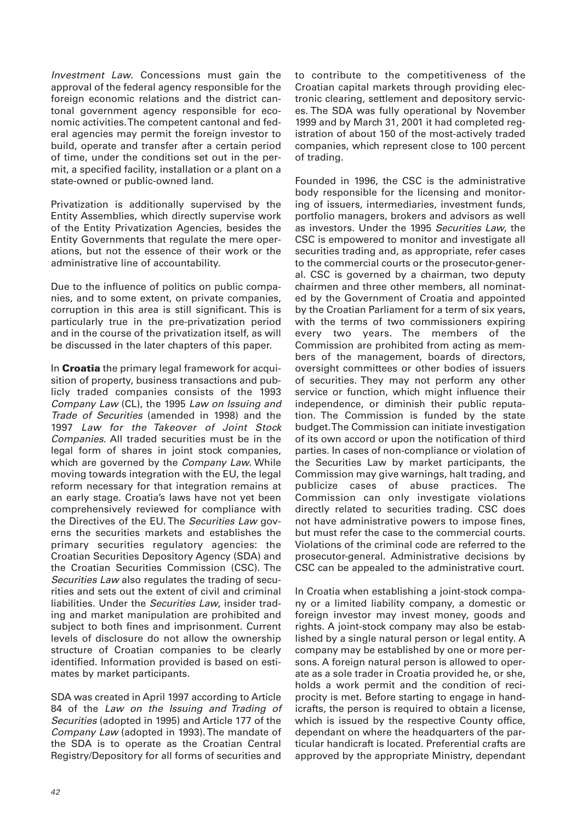Investment Law. Concessions must gain the approval of the federal agency responsible for the foreign economic relations and the district cantonal government agency responsible for economic activities. The competent cantonal and federal agencies may permit the foreign investor to build, operate and transfer after a certain period of time, under the conditions set out in the permit, a specified facility, installation or a plant on a state-owned or public-owned land.

Privatization is additionally supervised by the Entity Assemblies, which directly supervise work of the Entity Privatization Agencies, besides the Entity Governments that regulate the mere operations, but not the essence of their work or the administrative line of accountability.

Due to the influence of politics on public companies, and to some extent, on private companies, corruption in this area is still significant. This is particularly true in the pre-privatization period and in the course of the privatization itself, as will be discussed in the later chapters of this paper.

In **Croatia** the primary legal framework for acquisition of property, business transactions and publicly traded companies consists of the 1993 Company Law (CL), the 1995 Law on Issuing and Trade of Securities (amended in 1998) and the 1997 Law for the Takeover of Joint Stock Companies. All traded securities must be in the legal form of shares in joint stock companies, which are governed by the *Company Law*. While moving towards integration with the EU, the legal reform necessary for that integration remains at an early stage. Croatia's laws have not yet been comprehensively reviewed for compliance with the Directives of the EU. The Securities Law governs the securities markets and establishes the primary securities regulatory agencies: the Croatian Securities Depository Agency (SDA) and the Croatian Securities Commission (CSC). The Securities Law also regulates the trading of securities and sets out the extent of civil and criminal liabilities. Under the Securities Law, insider trading and market manipulation are prohibited and subject to both fines and imprisonment. Current levels of disclosure do not allow the ownership structure of Croatian companies to be clearly identified. Information provided is based on estimates by market participants.

SDA was created in April 1997 according to Article 84 of the Law on the Issuing and Trading of Securities (adopted in 1995) and Article 177 of the Company Law (adopted in 1993). The mandate of the SDA is to operate as the Croatian Central Registry/Depository for all forms of securities and

to contribute to the competitiveness of the Croatian capital markets through providing electronic clearing, settlement and depository services. The SDA was fully operational by November 1999 and by March 31, 2001 it had completed registration of about 150 of the most-actively traded companies, which represent close to 100 percent of trading.

Founded in 1996, the CSC is the administrative body responsible for the licensing and monitoring of issuers, intermediaries, investment funds, portfolio managers, brokers and advisors as well as investors. Under the 1995 Securities Law, the CSC is empowered to monitor and investigate all securities trading and, as appropriate, refer cases to the commercial courts or the prosecutor-general. CSC is governed by a chairman, two deputy chairmen and three other members, all nominated by the Government of Croatia and appointed by the Croatian Parliament for a term of six years, with the terms of two commissioners expiring every two years. The members of the Commission are prohibited from acting as members of the management, boards of directors, oversight committees or other bodies of issuers of securities. They may not perform any other service or function, which might influence their independence, or diminish their public reputation. The Commission is funded by the state budget. The Commission can initiate investigation of its own accord or upon the notification of third parties. In cases of non-compliance or violation of the Securities Law by market participants, the Commission may give warnings, halt trading, and publicize cases of abuse practices. The Commission can only investigate violations directly related to securities trading. CSC does not have administrative powers to impose fines, but must refer the case to the commercial courts. Violations of the criminal code are referred to the prosecutor-general. Administrative decisions by CSC can be appealed to the administrative court.

In Croatia when establishing a joint-stock company or a limited liability company, a domestic or foreign investor may invest money, goods and rights. A joint-stock company may also be established by a single natural person or legal entity. A company may be established by one or more persons. A foreign natural person is allowed to operate as a sole trader in Croatia provided he, or she, holds a work permit and the condition of reciprocity is met. Before starting to engage in handicrafts, the person is required to obtain a license, which is issued by the respective County office, dependant on where the headquarters of the particular handicraft is located. Preferential crafts are approved by the appropriate Ministry, dependant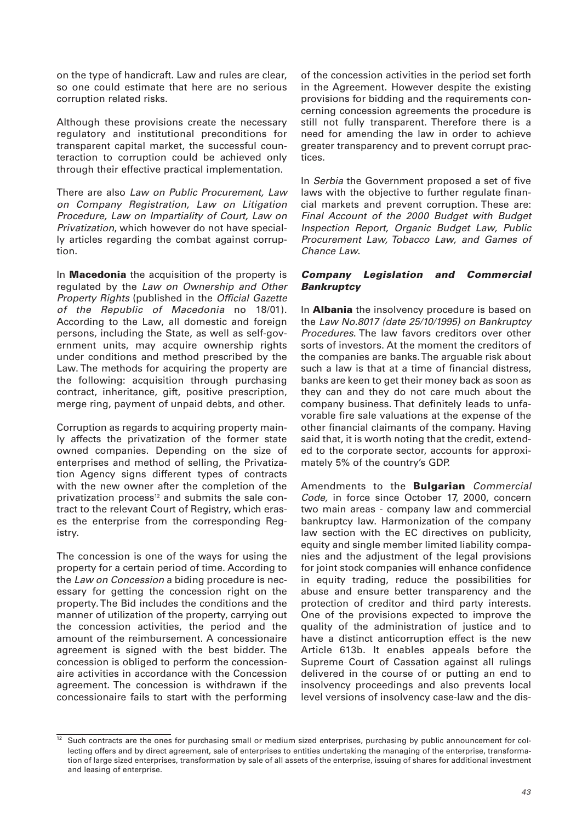on the type of handicraft. Law and rules are clear, so one could estimate that here are no serious corruption related risks.

Although these provisions create the necessary regulatory and institutional preconditions for transparent capital market, the successful counteraction to corruption could be achieved only through their effective practical implementation.

There are also Law on Public Procurement, Law on Company Registration, Law on Litigation Procedure, Law on Impartiality of Court, Law on Privatization, which however do not have specially articles regarding the combat against corruption.

In **Macedonia** the acquisition of the property is regulated by the Law on Ownership and Other Property Rights (published in the Official Gazette of the Republic of Macedonia no 18/01). According to the Law, all domestic and foreign persons, including the State, as well as self-government units, may acquire ownership rights under conditions and method prescribed by the Law. The methods for acquiring the property are the following: acquisition through purchasing contract, inheritance, gift, positive prescription, merge ring, payment of unpaid debts, and other.

Corruption as regards to acquiring property mainly affects the privatization of the former state owned companies. Depending on the size of enterprises and method of selling, the Privatization Agency signs different types of contracts with the new owner after the completion of the privatization process<sup>12</sup> and submits the sale contract to the relevant Court of Registry, which erases the enterprise from the corresponding Registry.

The concession is one of the ways for using the property for a certain period of time. According to the Law on Concession a biding procedure is necessary for getting the concession right on the property. The Bid includes the conditions and the manner of utilization of the property, carrying out the concession activities, the period and the amount of the reimbursement. A concessionaire agreement is signed with the best bidder. The concession is obliged to perform the concessionaire activities in accordance with the Concession agreement. The concession is withdrawn if the concessionaire fails to start with the performing

of the concession activities in the period set forth in the Agreement. However despite the existing provisions for bidding and the requirements concerning concession agreements the procedure is still not fully transparent. Therefore there is a need for amending the law in order to achieve greater transparency and to prevent corrupt practices.

In Serbia the Government proposed a set of five laws with the objective to further regulate financial markets and prevent corruption. These are: Final Account of the 2000 Budget with Budget Inspection Report, Organic Budget Law, Public Procurement Law, Tobacco Law, and Games of Chance Law.

#### *Company Legislation and Commercial Bankruptcy*

In **Albania** the insolvency procedure is based on the Law No.8017 (date 25/10/1995) on Bankruptcy Procedures. The law favors creditors over other sorts of investors. At the moment the creditors of the companies are banks. The arguable risk about such a law is that at a time of financial distress, banks are keen to get their money back as soon as they can and they do not care much about the company business. That definitely leads to unfavorable fire sale valuations at the expense of the other financial claimants of the company. Having said that, it is worth noting that the credit, extended to the corporate sector, accounts for approximately 5% of the country's GDP.

Amendments to the **Bulgarian** Commercial Code, in force since October 17, 2000, concern two main areas - company law and commercial bankruptcy law. Harmonization of the company law section with the EC directives on publicity, equity and single member limited liability companies and the adjustment of the legal provisions for joint stock companies will enhance confidence in equity trading, reduce the possibilities for abuse and ensure better transparency and the protection of creditor and third party interests. One of the provisions expected to improve the quality of the administration of justice and to have a distinct anticorruption effect is the new Article 613b. It enables appeals before the Supreme Court of Cassation against all rulings delivered in the course of or putting an end to insolvency proceedings and also prevents local level versions of insolvency case-law and the dis-

<sup>&</sup>lt;sup>12</sup> Such contracts are the ones for purchasing small or medium sized enterprises, purchasing by public announcement for collecting offers and by direct agreement, sale of enterprises to entities undertaking the managing of the enterprise, transformation of large sized enterprises, transformation by sale of all assets of the enterprise, issuing of shares for additional investment and leasing of enterprise.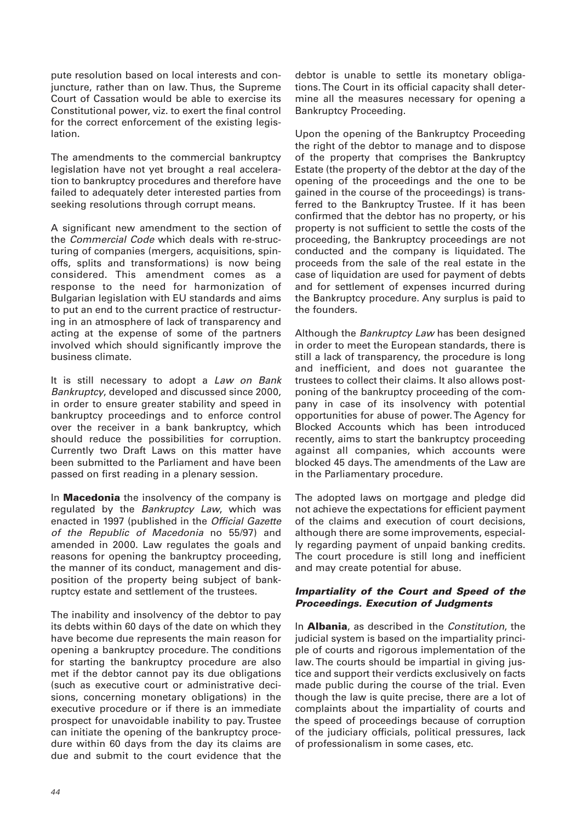pute resolution based on local interests and conjuncture, rather than on law. Thus, the Supreme Court of Cassation would be able to exercise its Constitutional power, viz. to exert the final control for the correct enforcement of the existing legislation.

The amendments to the commercial bankruptcy legislation have not yet brought a real acceleration to bankruptcy procedures and therefore have failed to adequately deter interested parties from seeking resolutions through corrupt means.

A significant new amendment to the section of the Commercial Code which deals with re-structuring of companies (mergers, acquisitions, spinoffs, splits and transformations) is now being considered. This amendment comes as a response to the need for harmonization of Bulgarian legislation with EU standards and aims to put an end to the current practice of restructuring in an atmosphere of lack of transparency and acting at the expense of some of the partners involved which should significantly improve the business climate.

It is still necessary to adopt a Law on Bank Bankruptcy, developed and discussed since 2000, in order to ensure greater stability and speed in bankruptcy proceedings and to enforce control over the receiver in a bank bankruptcy, which should reduce the possibilities for corruption. Currently two Draft Laws on this matter have been submitted to the Parliament and have been passed on first reading in a plenary session.

In **Macedonia** the insolvency of the company is regulated by the Bankruptcy Law, which was enacted in 1997 (published in the Official Gazette of the Republic of Macedonia no 55/97) and amended in 2000. Law regulates the goals and reasons for opening the bankruptcy proceeding, the manner of its conduct, management and disposition of the property being subject of bankruptcy estate and settlement of the trustees.

The inability and insolvency of the debtor to pay its debts within 60 days of the date on which they have become due represents the main reason for opening a bankruptcy procedure. The conditions for starting the bankruptcy procedure are also met if the debtor cannot pay its due obligations (such as executive court or administrative decisions, concerning monetary obligations) in the executive procedure or if there is an immediate prospect for unavoidable inability to pay. Trustee can initiate the opening of the bankruptcy procedure within 60 days from the day its claims are due and submit to the court evidence that the

debtor is unable to settle its monetary obligations. The Court in its official capacity shall determine all the measures necessary for opening a Bankruptcy Proceeding.

Upon the opening of the Bankruptcy Proceeding the right of the debtor to manage and to dispose of the property that comprises the Bankruptcy Estate (the property of the debtor at the day of the opening of the proceedings and the one to be gained in the course of the proceedings) is transferred to the Bankruptcy Trustee. If it has been confirmed that the debtor has no property, or his property is not sufficient to settle the costs of the proceeding, the Bankruptcy proceedings are not conducted and the company is liquidated. The proceeds from the sale of the real estate in the case of liquidation are used for payment of debts and for settlement of expenses incurred during the Bankruptcy procedure. Any surplus is paid to the founders.

Although the Bankruptcy Law has been designed in order to meet the European standards, there is still a lack of transparency, the procedure is long and inefficient, and does not guarantee the trustees to collect their claims. It also allows postponing of the bankruptcy proceeding of the company in case of its insolvency with potential opportunities for abuse of power. The Agency for Blocked Accounts which has been introduced recently, aims to start the bankruptcy proceeding against all companies, which accounts were blocked 45 days. The amendments of the Law are in the Parliamentary procedure.

The adopted laws on mortgage and pledge did not achieve the expectations for efficient payment of the claims and execution of court decisions, although there are some improvements, especially regarding payment of unpaid banking credits. The court procedure is still long and inefficient and may create potential for abuse.

### *Impartiality of the Court and Speed of the Proceedings. Execution of Judgments*

In **Albania**, as described in the Constitution, the judicial system is based on the impartiality principle of courts and rigorous implementation of the law. The courts should be impartial in giving justice and support their verdicts exclusively on facts made public during the course of the trial. Even though the law is quite precise, there are a lot of complaints about the impartiality of courts and the speed of proceedings because of corruption of the judiciary officials, political pressures, lack of professionalism in some cases, etc.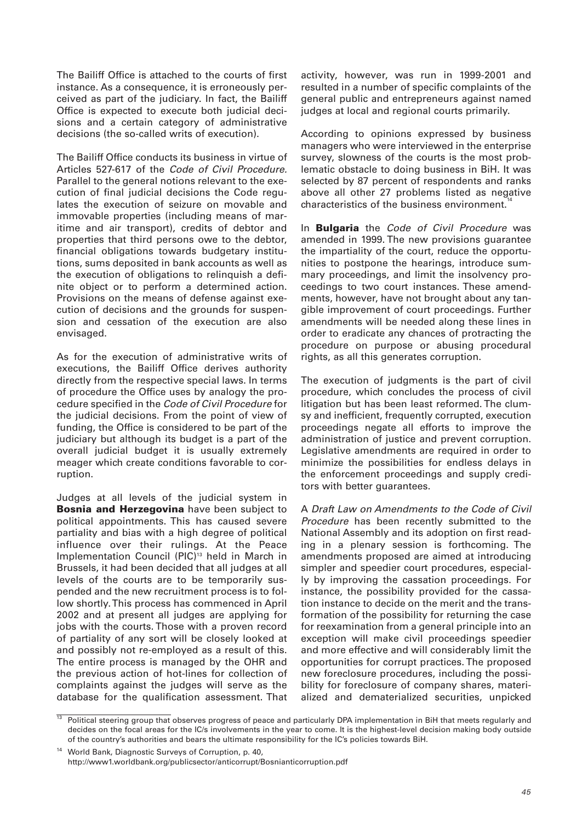The Bailiff Office is attached to the courts of first instance. As a consequence, it is erroneously perceived as part of the judiciary. In fact, the Bailiff Office is expected to execute both judicial decisions and a certain category of administrative decisions (the so-called writs of execution).

The Bailiff Office conducts its business in virtue of Articles 527-617 of the Code of Civil Procedure. Parallel to the general notions relevant to the execution of final judicial decisions the Code regulates the execution of seizure on movable and immovable properties (including means of maritime and air transport), credits of debtor and properties that third persons owe to the debtor, financial obligations towards budgetary institutions, sums deposited in bank accounts as well as the execution of obligations to relinquish a definite object or to perform a determined action. Provisions on the means of defense against execution of decisions and the grounds for suspension and cessation of the execution are also envisaged.

As for the execution of administrative writs of executions, the Bailiff Office derives authority directly from the respective special laws. In terms of procedure the Office uses by analogy the procedure specified in the Code of Civil Procedure for the judicial decisions. From the point of view of funding, the Office is considered to be part of the judiciary but although its budget is a part of the overall judicial budget it is usually extremely meager which create conditions favorable to corruption.

Judges at all levels of the judicial system in **Bosnia and Herzegovina** have been subject to political appointments. This has caused severe partiality and bias with a high degree of political influence over their rulings. At the Peace Implementation Council (PIC)<sup>13</sup> held in March in Brussels, it had been decided that all judges at all levels of the courts are to be temporarily suspended and the new recruitment process is to follow shortly. This process has commenced in April 2002 and at present all judges are applying for jobs with the courts. Those with a proven record of partiality of any sort will be closely looked at and possibly not re-employed as a result of this. The entire process is managed by the OHR and the previous action of hot-lines for collection of complaints against the judges will serve as the database for the qualification assessment. That activity, however, was run in 1999-2001 and resulted in a number of specific complaints of the general public and entrepreneurs against named judges at local and regional courts primarily.

According to opinions expressed by business managers who were interviewed in the enterprise survey, slowness of the courts is the most problematic obstacle to doing business in BiH. It was selected by 87 percent of respondents and ranks above all other 27 problems listed as negative characteristics of the business environment.<sup>1</sup>

In **Bulgaria** the Code of Civil Procedure was amended in 1999. The new provisions guarantee the impartiality of the court, reduce the opportunities to postpone the hearings, introduce summary proceedings, and limit the insolvency proceedings to two court instances. These amendments, however, have not brought about any tangible improvement of court proceedings. Further amendments will be needed along these lines in order to eradicate any chances of protracting the procedure on purpose or abusing procedural rights, as all this generates corruption.

The execution of judgments is the part of civil procedure, which concludes the process of civil litigation but has been least reformed. The clumsy and inefficient, frequently corrupted, execution proceedings negate all efforts to improve the administration of justice and prevent corruption. Legislative amendments are required in order to minimize the possibilities for endless delays in the enforcement proceedings and supply creditors with better guarantees.

A Draft Law on Amendments to the Code of Civil Procedure has been recently submitted to the National Assembly and its adoption on first reading in a plenary session is forthcoming. The amendments proposed are aimed at introducing simpler and speedier court procedures, especially by improving the cassation proceedings. For instance, the possibility provided for the cassation instance to decide on the merit and the transformation of the possibility for returning the case for reexamination from a general principle into an exception will make civil proceedings speedier and more effective and will considerably limit the opportunities for corrupt practices. The proposed new foreclosure procedures, including the possibility for foreclosure of company shares, materialized and dematerialized securities, unpicked

Political steering group that observes progress of peace and particularly DPA implementation in BiH that meets regularly and decides on the focal areas for the IC/s involvements in the year to come. It is the highest-level decision making body outside of the country's authorities and bears the ultimate responsibility for the IC's policies towards BiH.

World Bank, Diagnostic Surveys of Corruption, p. 40, http://www1.worldbank.org/publicsector/anticorrupt/Bosnianticorruption.pdf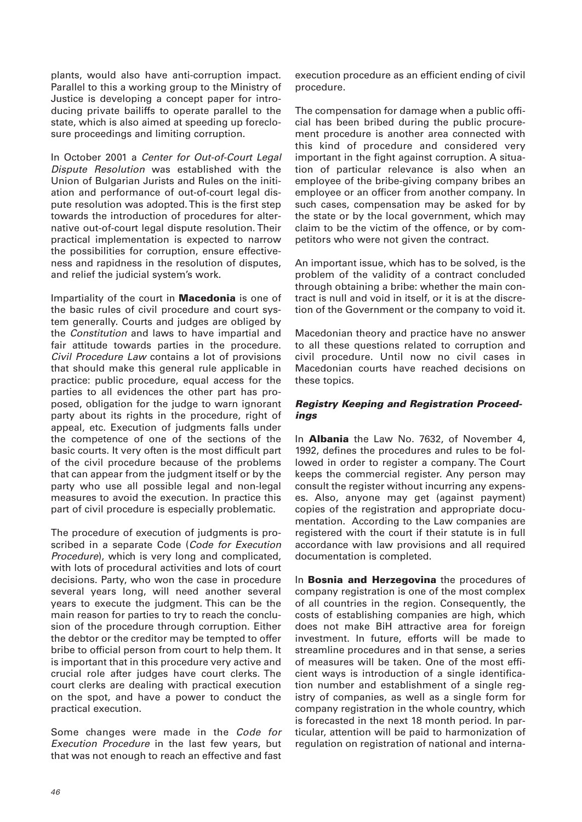plants, would also have anti-corruption impact. Parallel to this a working group to the Ministry of Justice is developing a concept paper for introducing private bailiffs to operate parallel to the state, which is also aimed at speeding up foreclosure proceedings and limiting corruption.

In October 2001 a Center for Out-of-Court Legal Dispute Resolution was established with the Union of Bulgarian Jurists and Rules on the initiation and performance of out-of-court legal dispute resolution was adopted. This is the first step towards the introduction of procedures for alternative out-of-court legal dispute resolution. Their practical implementation is expected to narrow the possibilities for corruption, ensure effectiveness and rapidness in the resolution of disputes, and relief the judicial system's work.

Impartiality of the court in **Macedonia** is one of the basic rules of civil procedure and court system generally. Courts and judges are obliged by the Constitution and laws to have impartial and fair attitude towards parties in the procedure. Civil Procedure Law contains a lot of provisions that should make this general rule applicable in practice: public procedure, equal access for the parties to all evidences the other part has proposed, obligation for the judge to warn ignorant party about its rights in the procedure, right of appeal, etc. Execution of judgments falls under the competence of one of the sections of the basic courts. It very often is the most difficult part of the civil procedure because of the problems that can appear from the judgment itself or by the party who use all possible legal and non-legal measures to avoid the execution. In practice this part of civil procedure is especially problematic.

The procedure of execution of judgments is proscribed in a separate Code (Code for Execution Procedure), which is very long and complicated, with lots of procedural activities and lots of court decisions. Party, who won the case in procedure several years long, will need another several years to execute the judgment. This can be the main reason for parties to try to reach the conclusion of the procedure through corruption. Either the debtor or the creditor may be tempted to offer bribe to official person from court to help them. It is important that in this procedure very active and crucial role after judges have court clerks. The court clerks are dealing with practical execution on the spot, and have a power to conduct the practical execution.

Some changes were made in the Code for Execution Procedure in the last few years, but that was not enough to reach an effective and fast

execution procedure as an efficient ending of civil procedure.

The compensation for damage when a public official has been bribed during the public procurement procedure is another area connected with this kind of procedure and considered very important in the fight against corruption. A situation of particular relevance is also when an employee of the bribe-giving company bribes an employee or an officer from another company. In such cases, compensation may be asked for by the state or by the local government, which may claim to be the victim of the offence, or by competitors who were not given the contract.

An important issue, which has to be solved, is the problem of the validity of a contract concluded through obtaining a bribe: whether the main contract is null and void in itself, or it is at the discretion of the Government or the company to void it.

Macedonian theory and practice have no answer to all these questions related to corruption and civil procedure. Until now no civil cases in Macedonian courts have reached decisions on these topics.

## *Registry Keeping and Registration Proceedings*

In **Albania** the Law No. 7632, of November 4, 1992, defines the procedures and rules to be followed in order to register a company. The Court keeps the commercial register. Any person may consult the register without incurring any expenses. Also, anyone may get (against payment) copies of the registration and appropriate documentation. According to the Law companies are registered with the court if their statute is in full accordance with law provisions and all required documentation is completed.

In **Bosnia and Herzegovina** the procedures of company registration is one of the most complex of all countries in the region. Consequently, the costs of establishing companies are high, which does not make BiH attractive area for foreign investment. In future, efforts will be made to streamline procedures and in that sense, a series of measures will be taken. One of the most efficient ways is introduction of a single identification number and establishment of a single registry of companies, as well as a single form for company registration in the whole country, which is forecasted in the next 18 month period. In particular, attention will be paid to harmonization of regulation on registration of national and interna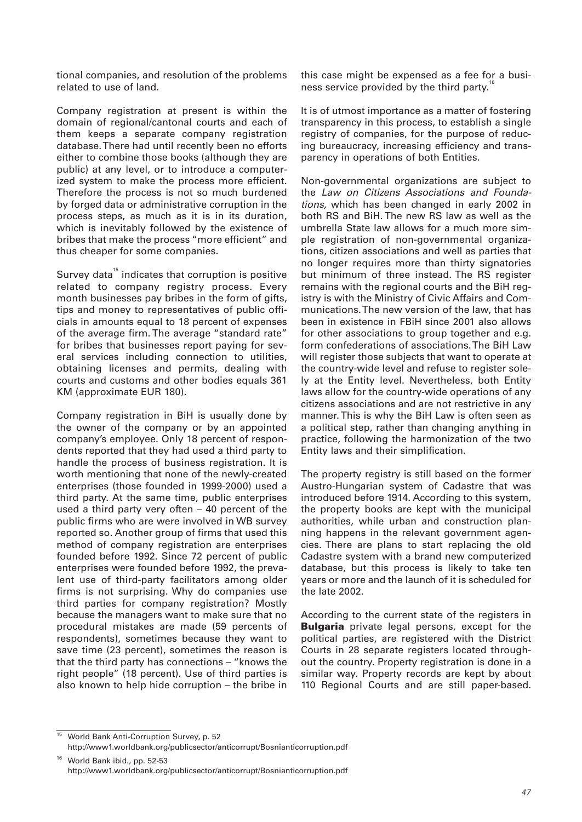tional companies, and resolution of the problems related to use of land.

Company registration at present is within the domain of regional/cantonal courts and each of them keeps a separate company registration database. There had until recently been no efforts either to combine those books (although they are public) at any level, or to introduce a computerized system to make the process more efficient. Therefore the process is not so much burdened by forged data or administrative corruption in the process steps, as much as it is in its duration, which is inevitably followed by the existence of bribes that make the process "more efficient" and thus cheaper for some companies.

Survey data $15$  indicates that corruption is positive related to company registry process. Every month businesses pay bribes in the form of gifts, tips and money to representatives of public officials in amounts equal to 18 percent of expenses of the average firm. The average "standard rate" for bribes that businesses report paying for several services including connection to utilities, obtaining licenses and permits, dealing with courts and customs and other bodies equals 361 KM (approximate EUR 180).

Company registration in BiH is usually done by the owner of the company or by an appointed company's employee. Only 18 percent of respondents reported that they had used a third party to handle the process of business registration. It is worth mentioning that none of the newly-created enterprises (those founded in 1999-2000) used a third party. At the same time, public enterprises used a third party very often – 40 percent of the public firms who are were involved in WB survey reported so. Another group of firms that used this method of company registration are enterprises founded before 1992. Since 72 percent of public enterprises were founded before 1992, the prevalent use of third-party facilitators among older firms is not surprising. Why do companies use third parties for company registration? Mostly because the managers want to make sure that no procedural mistakes are made (59 percents of respondents), sometimes because they want to save time (23 percent), sometimes the reason is that the third party has connections – "knows the right people" (18 percent). Use of third parties is also known to help hide corruption – the bribe in

this case might be expensed as a fee for a business service provided by the third party.

It is of utmost importance as a matter of fostering transparency in this process, to establish a single registry of companies, for the purpose of reducing bureaucracy, increasing efficiency and transparency in operations of both Entities.

Non-governmental organizations are subject to the Law on Citizens Associations and Foundations, which has been changed in early 2002 in both RS and BiH. The new RS law as well as the umbrella State law allows for a much more simple registration of non-governmental organizations, citizen associations and well as parties that no longer requires more than thirty signatories but minimum of three instead. The RS register remains with the regional courts and the BiH registry is with the Ministry of Civic Affairs and Communications. The new version of the law, that has been in existence in FBiH since 2001 also allows for other associations to group together and e.g. form confederations of associations. The BiH Law will register those subjects that want to operate at the country-wide level and refuse to register solely at the Entity level. Nevertheless, both Entity laws allow for the country-wide operations of any citizens associations and are not restrictive in any manner. This is why the BiH Law is often seen as a political step, rather than changing anything in practice, following the harmonization of the two Entity laws and their simplification.

The property registry is still based on the former Austro-Hungarian system of Cadastre that was introduced before 1914. According to this system, the property books are kept with the municipal authorities, while urban and construction planning happens in the relevant government agencies. There are plans to start replacing the old Cadastre system with a brand new computerized database, but this process is likely to take ten years or more and the launch of it is scheduled for the late 2002.

According to the current state of the registers in **Bulgaria** private legal persons, except for the political parties, are registered with the District Courts in 28 separate registers located throughout the country. Property registration is done in a similar way. Property records are kept by about 110 Regional Courts and are still paper-based.

<sup>&</sup>lt;sup>15</sup> World Bank Anti-Corruption Survey, p. 52 http://www1.worldbank.org/publicsector/anticorrupt/Bosnianticorruption.pdf

<sup>16</sup> World Bank ibid., pp. 52-53 http://www1.worldbank.org/publicsector/anticorrupt/Bosnianticorruption.pdf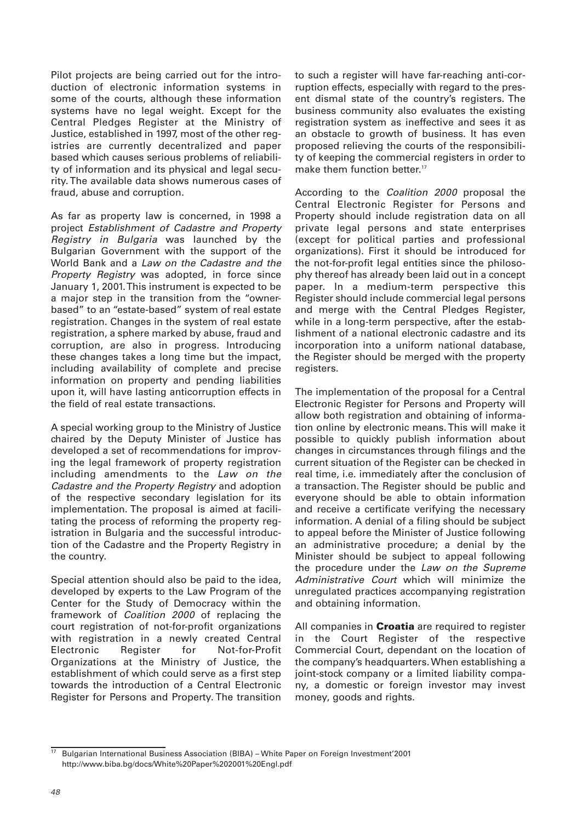Pilot projects are being carried out for the introduction of electronic information systems in some of the courts, although these information systems have no legal weight. Except for the Central Pledges Register at the Ministry of Justice, established in 1997, most of the other registries are currently decentralized and paper based which causes serious problems of reliability of information and its physical and legal security. The available data shows numerous cases of fraud, abuse and corruption.

As far as property law is concerned, in 1998 a project Establishment of Cadastre and Property Registry in Bulgaria was launched by the Bulgarian Government with the support of the World Bank and a Law on the Cadastre and the Property Registry was adopted, in force since January 1, 2001. This instrument is expected to be a major step in the transition from the "ownerbased" to an "estate-based" system of real estate registration. Changes in the system of real estate registration, a sphere marked by abuse, fraud and corruption, are also in progress. Introducing these changes takes a long time but the impact, including availability of complete and precise information on property and pending liabilities upon it, will have lasting anticorruption effects in the field of real estate transactions.

A special working group to the Ministry of Justice chaired by the Deputy Minister of Justice has developed a set of recommendations for improving the legal framework of property registration including amendments to the Law on the Cadastre and the Property Registry and adoption of the respective secondary legislation for its implementation. The proposal is aimed at facilitating the process of reforming the property registration in Bulgaria and the successful introduction of the Cadastre and the Property Registry in the country.

Special attention should also be paid to the idea, developed by experts to the Law Program of the Center for the Study of Democracy within the framework of Coalition 2000 of replacing the court registration of not-for-profit organizations with registration in a newly created Central Electronic Register for Not-for-Profit Organizations at the Ministry of Justice, the establishment of which could serve as a first step towards the introduction of a Central Electronic Register for Persons and Property. The transition

to such a register will have far-reaching anti-corruption effects, especially with regard to the present dismal state of the country's registers. The business community also evaluates the existing registration system as ineffective and sees it as an obstacle to growth of business. It has even proposed relieving the courts of the responsibility of keeping the commercial registers in order to make them function better.<sup>17</sup>

According to the Coalition 2000 proposal the Central Electronic Register for Persons and Property should include registration data on all private legal persons and state enterprises (except for political parties and professional organizations). First it should be introduced for the not-for-profit legal entities since the philosophy thereof has already been laid out in a concept paper. In a medium-term perspective this Register should include commercial legal persons and merge with the Central Pledges Register, while in a long-term perspective, after the establishment of a national electronic cadastre and its incorporation into a uniform national database, the Register should be merged with the property registers.

The implementation of the proposal for a Central Electronic Register for Persons and Property will allow both registration and obtaining of information online by electronic means. This will make it possible to quickly publish information about changes in circumstances through filings and the current situation of the Register can be checked in real time, i.e. immediately after the conclusion of a transaction. The Register should be public and everyone should be able to obtain information and receive a certificate verifying the necessary information. A denial of a filing should be subject to appeal before the Minister of Justice following an administrative procedure; a denial by the Minister should be subject to appeal following the procedure under the Law on the Supreme Administrative Court which will minimize the unregulated practices accompanying registration and obtaining information.

All companies in **Croatia** are required to register in the Court Register of the respective Commercial Court, dependant on the location of the company's headquarters. When establishing a joint-stock company or a limited liability company, a domestic or foreign investor may invest money, goods and rights.

<sup>&</sup>lt;sup>17</sup> Bulgarian International Business Association (BIBA) – White Paper on Foreign Investment'2001 http://www.biba.bg/docs/White%20Paper%202001%20Engl.pdf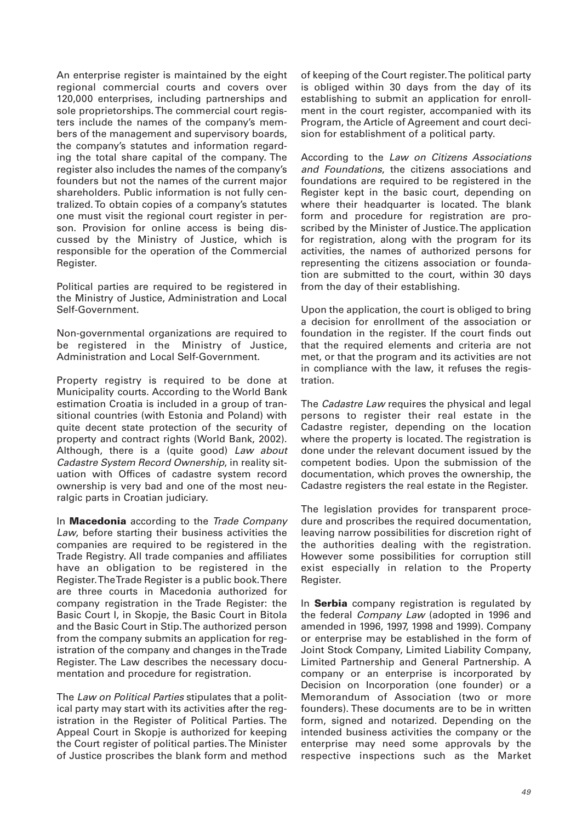An enterprise register is maintained by the eight regional commercial courts and covers over 120,000 enterprises, including partnerships and sole proprietorships. The commercial court registers include the names of the company's members of the management and supervisory boards, the company's statutes and information regarding the total share capital of the company. The register also includes the names of the company's founders but not the names of the current major shareholders. Public information is not fully centralized. To obtain copies of a company's statutes one must visit the regional court register in person. Provision for online access is being discussed by the Ministry of Justice, which is responsible for the operation of the Commercial Register.

Political parties are required to be registered in the Ministry of Justice, Administration and Local Self-Government.

Non-governmental organizations are required to be registered in the Ministry of Justice, Administration and Local Self-Government.

Property registry is required to be done at Municipality courts. According to the World Bank estimation Croatia is included in a group of transitional countries (with Estonia and Poland) with quite decent state protection of the security of property and contract rights (World Bank, 2002). Although, there is a (quite good) Law about Cadastre System Record Ownership, in reality situation with Offices of cadastre system record ownership is very bad and one of the most neuralgic parts in Croatian judiciary.

In **Macedonia** according to the Trade Company Law, before starting their business activities the companies are required to be registered in the Trade Registry. All trade companies and affiliates have an obligation to be registered in the Register. The Trade Register is a public book. There are three courts in Macedonia authorized for company registration in the Trade Register: the Basic Court I, in Skopje, the Basic Court in Bitola and the Basic Court in Stip. The authorized person from the company submits an application for registration of the company and changes in the Trade Register. The Law describes the necessary documentation and procedure for registration.

The Law on Political Parties stipulates that a political party may start with its activities after the registration in the Register of Political Parties. The Appeal Court in Skopje is authorized for keeping the Court register of political parties. The Minister of Justice proscribes the blank form and method

of keeping of the Court register. The political party is obliged within 30 days from the day of its establishing to submit an application for enrollment in the court register, accompanied with its Program, the Article of Agreement and court decision for establishment of a political party.

According to the Law on Citizens Associations and Foundations, the citizens associations and foundations are required to be registered in the Register kept in the basic court, depending on where their headquarter is located. The blank form and procedure for registration are proscribed by the Minister of Justice. The application for registration, along with the program for its activities, the names of authorized persons for representing the citizens association or foundation are submitted to the court, within 30 days from the day of their establishing.

Upon the application, the court is obliged to bring a decision for enrollment of the association or foundation in the register. If the court finds out that the required elements and criteria are not met, or that the program and its activities are not in compliance with the law, it refuses the registration.

The *Cadastre Law* requires the physical and legal persons to register their real estate in the Cadastre register, depending on the location where the property is located. The registration is done under the relevant document issued by the competent bodies. Upon the submission of the documentation, which proves the ownership, the Cadastre registers the real estate in the Register.

The legislation provides for transparent procedure and proscribes the required documentation, leaving narrow possibilities for discretion right of the authorities dealing with the registration. However some possibilities for corruption still exist especially in relation to the Property Register.

In **Serbia** company registration is regulated by the federal Company Law (adopted in 1996 and amended in 1996, 1997, 1998 and 1999). Company or enterprise may be established in the form of Joint Stock Company, Limited Liability Company, Limited Partnership and General Partnership. A company or an enterprise is incorporated by Decision on Incorporation (one founder) or a Memorandum of Association (two or more founders). These documents are to be in written form, signed and notarized. Depending on the intended business activities the company or the enterprise may need some approvals by the respective inspections such as the Market